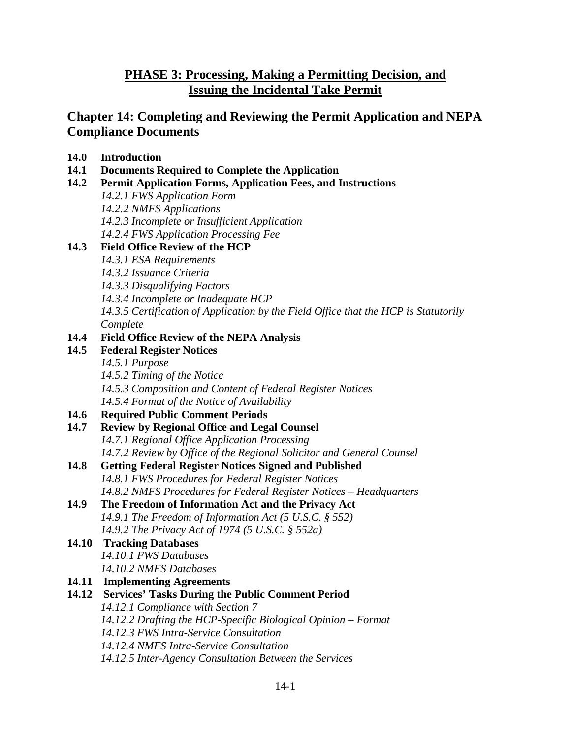# **PHASE 3: Processing, Making a Permitting Decision, and Issuing the Incidental Take Permit**

# **Chapter 14: Completing and Reviewing the Permit Application and NEPA Compliance Documents**

| 14.0 | <b>Introduction</b> |
|------|---------------------|
|      |                     |

- **14.1 Documents Required to Complete the Application**
- **14.2 Permit Application Forms, Application Fees, and Instructions**

*14.2.1 FWS Application Form 14.2.2 NMFS Applications 14.2.3 Incomplete or Insufficient Application 14.2.4 FWS Application Processing Fee*

# **14.3 Field Office Review of the HCP**

- *14.3.1 ESA Requirements*
- *14.3.2 Issuance Criteria*
- *14.3.3 Disqualifying Factors*
- *14.3.4 Incomplete or Inadequate HCP*
- *14.3.5 Certification of Application by the Field Office that the HCP is Statutorily Complete*

## **14.4 Field Office Review of the NEPA Analysis**

- **14.5 Federal Register Notices** 
	- *14.5.1 Purpose 14.5.2 Timing of the Notice 14.5.3 Composition and Content of Federal Register Notices 14.5.4 Format of the Notice of Availability*

# **14.6 Required Public Comment Periods**

- **14.7 Review by Regional Office and Legal Counsel**
	- *14.7.1 Regional Office Application Processing 14.7.2 Review by Office of the Regional Solicitor and General Counsel*
- **14.8 Getting Federal Register Notices Signed and Published** *14.8.1 FWS Procedures for Federal Register Notices 14.8.2 NMFS Procedures for Federal Register Notices – Headquarters*
- **14.9 The Freedom of Information Act and the Privacy Act** *14.9.1 The Freedom of Information Act (5 U.S.C. § 552) 14.9.2 The [Privacy Act of 1974 \(5 U.S.C. § 552a\)](http://www.gpo.gov/fdsys/pkg/USCODE-2012-title5/pdf/USCODE-2012-title5-partI-chap5-subchapII-sec552a.pdf)*

## **14.10 Tracking Databases**  *14.10.1 FWS Databases 14.10.2 NMFS Databases*

- **14.11 Implementing Agreements**
- **14.12 Services' Tasks During the Public Comment Period** *14.12.1 Compliance with Section 7 14.12.2 Drafting the HCP-Specific Biological Opinion – Format 14.12.3 FWS Intra-Service Consultation 14.12.4 NMFS Intra-Service Consultation 14.12.5 Inter-Agency Consultation Between the Services*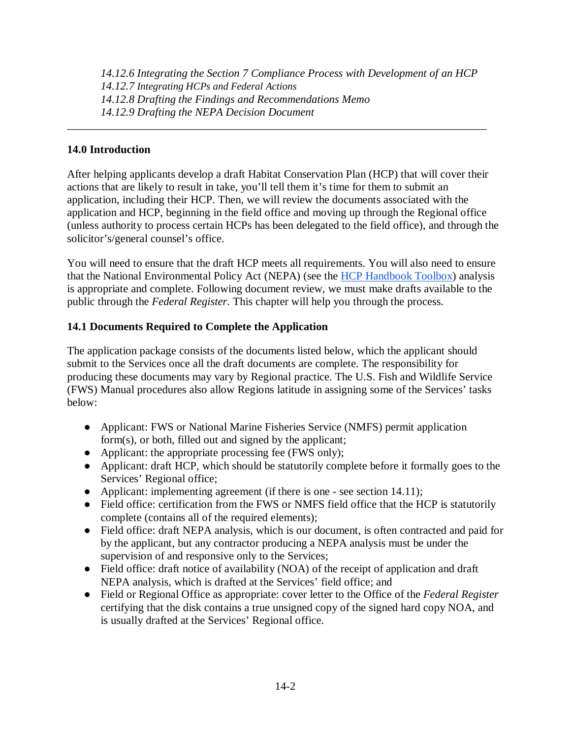*14.12.6 Integrating the Section 7 Compliance Process with Development of an HCP 14.12.7 Integrating HCPs and Federal Actions 14.12.8 Drafting the Findings and Recommendations Memo 14.12.9 Drafting the NEPA Decision Document*

\_\_\_\_\_\_\_\_\_\_\_\_\_\_\_\_\_\_\_\_\_\_\_\_\_\_\_\_\_\_\_\_\_\_\_\_\_\_\_\_\_\_\_\_\_\_\_\_\_\_\_\_\_\_\_\_\_\_\_\_\_\_\_\_\_\_\_\_\_\_\_\_\_\_\_

#### **14.0 Introduction**

After helping applicants develop a draft Habitat Conservation Plan (HCP) that will cover their actions that are likely to result in take, you'll tell them it's time for them to submit an application, including their HCP. Then, we will review the documents associated with the application and HCP, beginning in the field office and moving up through the Regional office (unless authority to process certain HCPs has been delegated to the field office), and through the solicitor's/general counsel's office.

You will need to ensure that the draft HCP meets all requirements. You will also need to ensure that the National Environmental Policy Act (NEPA) (see the [HCP Handbook Toolbox\)](https://www.fws.gov/endangered/what-we-do/hcp-handbook-toolbox.html#Ch14) analysis is appropriate and complete. Following document review, we must make drafts available to the public through the *Federal Register*. This chapter will help you through the process.

## **14.1 Documents Required to Complete the Application**

The application package consists of the documents listed below, which the applicant should submit to the Services once all the draft documents are complete. The responsibility for producing these documents may vary by Regional practice. The U.S. Fish and Wildlife Service (FWS) Manual procedures also allow Regions latitude in assigning some of the Services' tasks below:

- Applicant: FWS or National Marine Fisheries Service (NMFS) permit application form(s), or both, filled out and signed by the applicant;
- Applicant: the appropriate processing fee (FWS only);
- Applicant: draft HCP, which should be statutorily complete before it formally goes to the Services' Regional office;
- Applicant: implementing agreement (if there is one see section 14.11);
- Field office: certification from the FWS or NMFS field office that the HCP is statutorily complete (contains all of the required elements);
- Field office: draft NEPA analysis, which is our document, is often contracted and paid for by the applicant, but any contractor producing a NEPA analysis must be under the supervision of and responsive only to the Services;
- Field office: draft notice of availability (NOA) of the receipt of application and draft NEPA analysis, which is drafted at the Services' field office; and
- Field or Regional Office as appropriate: cover letter to the Office of the *Federal Register* certifying that the disk contains a true unsigned copy of the signed hard copy NOA, and is usually drafted at the Services' Regional office.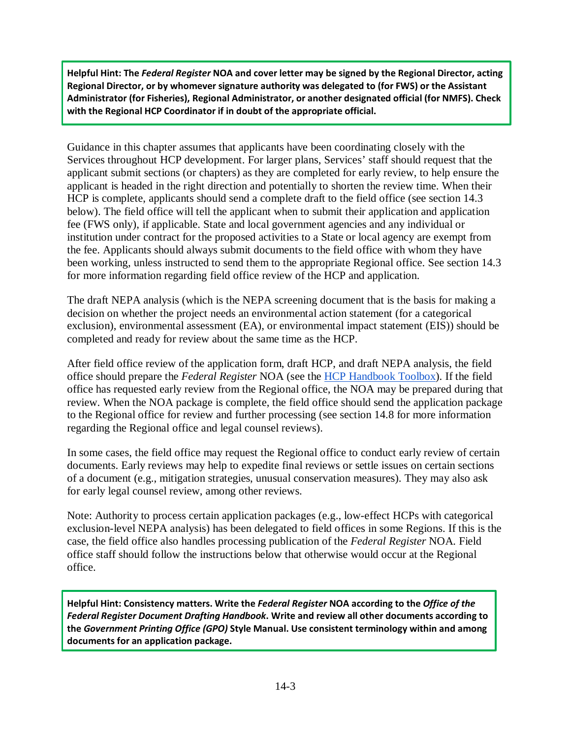**Helpful Hint: The** *Federal Register* **NOA and cover letter may be signed by the Regional Director, acting Regional Director, or by whomever signature authority was delegated to (for FWS) or the Assistant Administrator (for Fisheries), Regional Administrator, or another designated official (for NMFS). Check with the Regional HCP Coordinator if in doubt of the appropriate official.** 

Guidance in this chapter assumes that applicants have been coordinating closely with the Services throughout HCP development. For larger plans, Services' staff should request that the applicant submit sections (or chapters) as they are completed for early review, to help ensure the applicant is headed in the right direction and potentially to shorten the review time. When their HCP is complete, applicants should send a complete draft to the field office (see section 14.3 below). The field office will tell the applicant when to submit their application and application fee (FWS only), if applicable. State and local government agencies and any individual or institution under contract for the proposed activities to a State or local agency are exempt from the fee. Applicants should always submit documents to the field office with whom they have been working, unless instructed to send them to the appropriate Regional office. See section 14.3 for more information regarding field office review of the HCP and application.

The draft NEPA analysis (which is the NEPA screening document that is the basis for making a decision on whether the project needs an environmental action statement (for a categorical exclusion), environmental assessment (EA), or environmental impact statement (EIS)) should be completed and ready for review about the same time as the HCP.

After field office review of the application form, draft HCP, and draft NEPA analysis, the field office should prepare the *Federal Register* NOA (see the [HCP Handbook Toolbox\)](https://www.fws.gov/endangered/what-we-do/hcp-handbook-toolbox.html#Ch14). If the field office has requested early review from the Regional office, the NOA may be prepared during that review. When the NOA package is complete, the field office should send the application package to the Regional office for review and further processing (see section 14.8 for more information regarding the Regional office and legal counsel reviews).

In some cases, the field office may request the Regional office to conduct early review of certain documents. Early reviews may help to expedite final reviews or settle issues on certain sections of a document (e.g., mitigation strategies, unusual conservation measures). They may also ask for early legal counsel review, among other reviews.

Note: Authority to process certain application packages (e.g., low-effect HCPs with categorical exclusion-level NEPA analysis) has been delegated to field offices in some Regions. If this is the case, the field office also handles processing publication of the *Federal Register* NOA. Field office staff should follow the instructions below that otherwise would occur at the Regional office.

**Helpful Hint: Consistency matters. Write the** *Federal Register* **NOA according to the** *Office of the Federal Register Document Drafting Handbook***. Write and review all other documents according to the** *Government Printing Office (GPO)* **Style Manual. Use consistent terminology within and among documents for an application package.**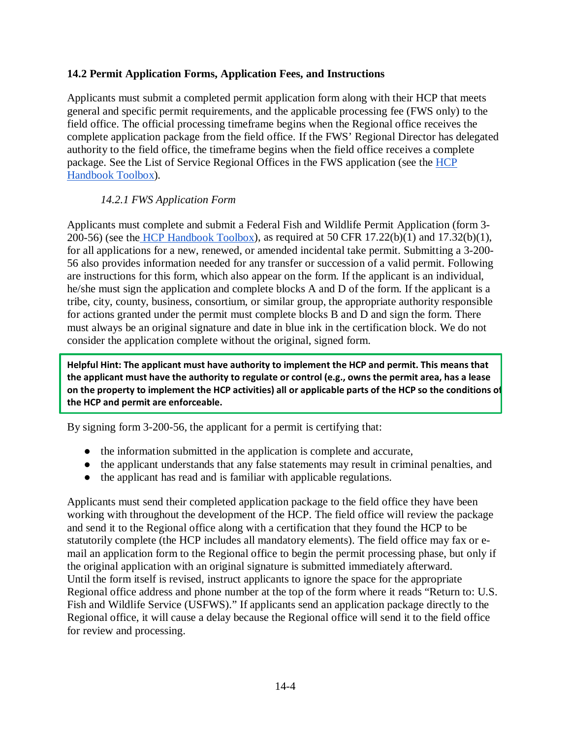#### **14.2 Permit Application Forms, Application Fees, and Instructions**

Applicants must submit a completed permit application form along with their HCP that meets general and specific permit requirements, and the applicable processing fee (FWS only) to the field office. The official processing timeframe begins when the Regional office receives the complete application package from the field office. If the FWS' Regional Director has delegated authority to the field office, the timeframe begins when the field office receives a complete package. See the List of Service Regional Offices in the FWS application (see the [HCP](https://www.fws.gov/endangered/what-we-do/hcp-handbook-toolbox.html#Ch14)  [Handbook Toolbox\)](https://www.fws.gov/endangered/what-we-do/hcp-handbook-toolbox.html#Ch14)*.*

#### *14.2.1 FWS Application Form*

Applicants must complete and submit a Federal Fish and Wildlife Permit Application (form 3- 200-56) (see the [HCP Handbook Toolbox\)](https://www.fws.gov/endangered/what-we-do/hcp-handbook-toolbox.html#Ch14), as required at 50 CFR 17.22(b)(1) and 17.32(b)(1), for all applications for a new, renewed, or amended incidental take permit. Submitting a 3-200- 56 also provides information needed for any transfer or succession of a valid permit. Following are instructions for this form, which also appear on the form. If the applicant is an individual, he/she must sign the application and complete blocks A and D of the form. If the applicant is a tribe, city, county, business, consortium, or similar group, the appropriate authority responsible for actions granted under the permit must complete blocks B and D and sign the form. There must always be an original signature and date in blue ink in the certification block. We do not consider the application complete without the original, signed form.

**Helpful Hint: The applicant must have authority to implement the HCP and permit. This means that the applicant must have the authority to regulate or control (e.g., owns the permit area, has a lease on the property to implement the HCP activities) all or applicable parts of the HCP so the conditions of the HCP and permit are enforceable.**

By signing form 3-200-56, the applicant for a permit is certifying that:

- the information submitted in the application is complete and accurate,
- the applicant understands that any false statements may result in criminal penalties, and
- the applicant has read and is familiar with applicable regulations.

Applicants must send their completed application package to the field office they have been working with throughout the development of the HCP. The field office will review the package and send it to the Regional office along with a certification that they found the HCP to be statutorily complete (the HCP includes all mandatory elements). The field office may fax or email an application form to the Regional office to begin the permit processing phase, but only if the original application with an original signature is submitted immediately afterward. Until the form itself is revised, instruct applicants to ignore the space for the appropriate Regional office address and phone number at the top of the form where it reads "Return to: U.S. Fish and Wildlife Service (USFWS)." If applicants send an application package directly to the Regional office, it will cause a delay because the Regional office will send it to the field office for review and processing.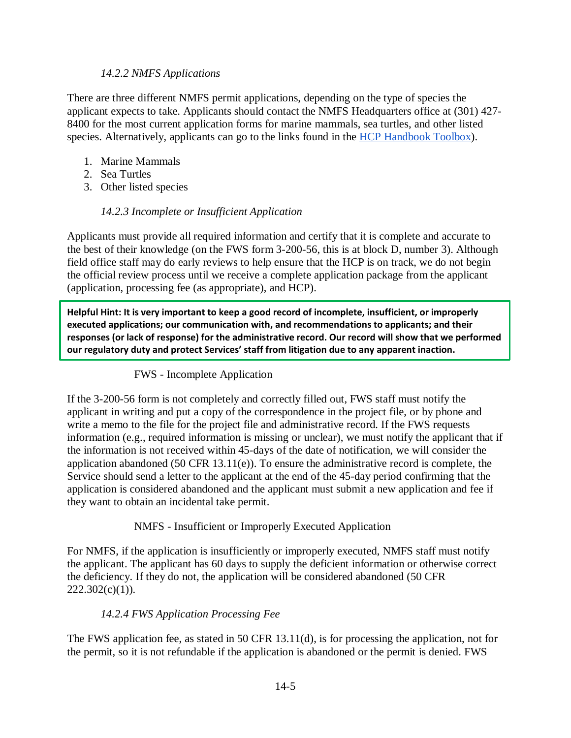#### *14.2.2 NMFS Applications*

There are three different NMFS permit applications, depending on the type of species the applicant expects to take. Applicants should contact the NMFS Headquarters office at (301) 427- 8400 for the most current application forms for marine mammals, sea turtles, and other listed species. Alternatively, applicants can go to the links found in the [HCP Handbook Toolbox\)](https://www.fws.gov/endangered/what-we-do/hcp-handbook-toolbox.html#Ch14).

- 1. Marine Mammals
- 2. Sea Turtles
- 3. Other listed species

## *14.2.3 Incomplete or Insufficient Application*

Applicants must provide all required information and certify that it is complete and accurate to the best of their knowledge (on the FWS form 3-200-56, this is at block D, number 3). Although field office staff may do early reviews to help ensure that the HCP is on track, we do not begin the official review process until we receive a complete application package from the applicant (application, processing fee (as appropriate), and HCP).

**Helpful Hint: It is very important to keep a good record of incomplete, insufficient, or improperly executed applications; our communication with, and recommendations to applicants; and their responses (or lack of response) for the administrative record. Our record will show that we performed our regulatory duty and protect Services' staff from litigation due to any apparent inaction.**

#### FWS - Incomplete Application

If the 3-200-56 form is not completely and correctly filled out, FWS staff must notify the applicant in writing and put a copy of the correspondence in the project file, or by phone and write a memo to the file for the project file and administrative record. If the FWS requests information (e.g., required information is missing or unclear), we must notify the applicant that if the information is not received within 45-days of the date of notification, we will consider the application abandoned (50 CFR 13.11(e)). To ensure the administrative record is complete, the Service should send a letter to the applicant at the end of the 45-day period confirming that the application is considered abandoned and the applicant must submit a new application and fee if they want to obtain an incidental take permit.

#### NMFS - Insufficient or Improperly Executed Application

For NMFS, if the application is insufficiently or improperly executed, NMFS staff must notify the applicant. The applicant has 60 days to supply the deficient information or otherwise correct the deficiency. If they do not, the application will be considered abandoned (50 CFR  $222.302(c)(1)$ ).

#### *14.2.4 FWS Application Processing Fee*

The FWS application fee, as stated in 50 CFR 13.11(d), is for processing the application, not for the permit, so it is not refundable if the application is abandoned or the permit is denied. FWS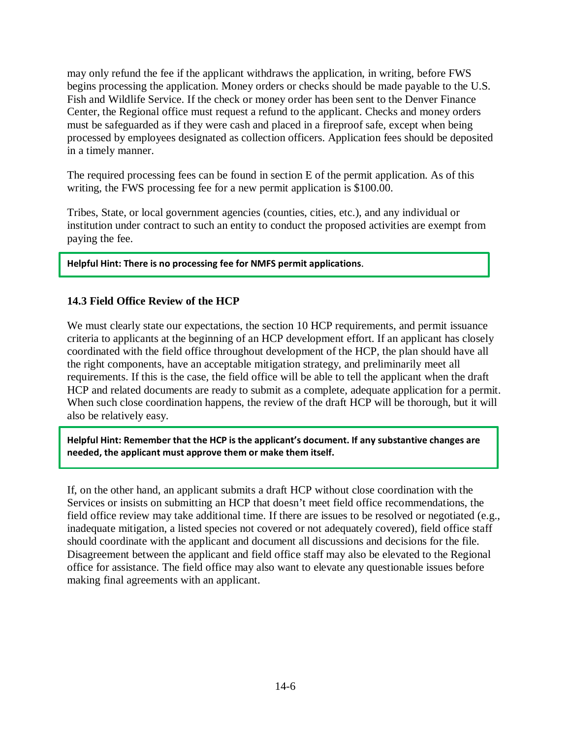may only refund the fee if the applicant withdraws the application, in writing, before FWS begins processing the application. Money orders or checks should be made payable to the U.S. Fish and Wildlife Service. If the check or money order has been sent to the Denver Finance Center, the Regional office must request a refund to the applicant. Checks and money orders must be safeguarded as if they were cash and placed in a fireproof safe, except when being processed by employees designated as collection officers. Application fees should be deposited in a timely manner.

The required processing fees can be found in section E of the permit application. As of this writing, the FWS processing fee for a new permit application is \$100.00.

Tribes, State, or local government agencies (counties, cities, etc.), and any individual or institution under contract to such an entity to conduct the proposed activities are exempt from paying the fee.

**Helpful Hint: There is no processing fee for NMFS permit applications**.

#### **14.3 Field Office Review of the HCP**

We must clearly state our expectations, the section 10 HCP requirements, and permit issuance criteria to applicants at the beginning of an HCP development effort. If an applicant has closely coordinated with the field office throughout development of the HCP, the plan should have all the right components, have an acceptable mitigation strategy, and preliminarily meet all requirements. If this is the case, the field office will be able to tell the applicant when the draft HCP and related documents are ready to submit as a complete, adequate application for a permit. When such close coordination happens, the review of the draft HCP will be thorough, but it will also be relatively easy.

**Helpful Hint: Remember that the HCP is the applicant's document. If any substantive changes are needed, the applicant must approve them or make them itself.**

If, on the other hand, an applicant submits a draft HCP without close coordination with the Services or insists on submitting an HCP that doesn't meet field office recommendations, the field office review may take additional time. If there are issues to be resolved or negotiated (e.g., inadequate mitigation, a listed species not covered or not adequately covered), field office staff should coordinate with the applicant and document all discussions and decisions for the file. Disagreement between the applicant and field office staff may also be elevated to the Regional office for assistance. The field office may also want to elevate any questionable issues before making final agreements with an applicant.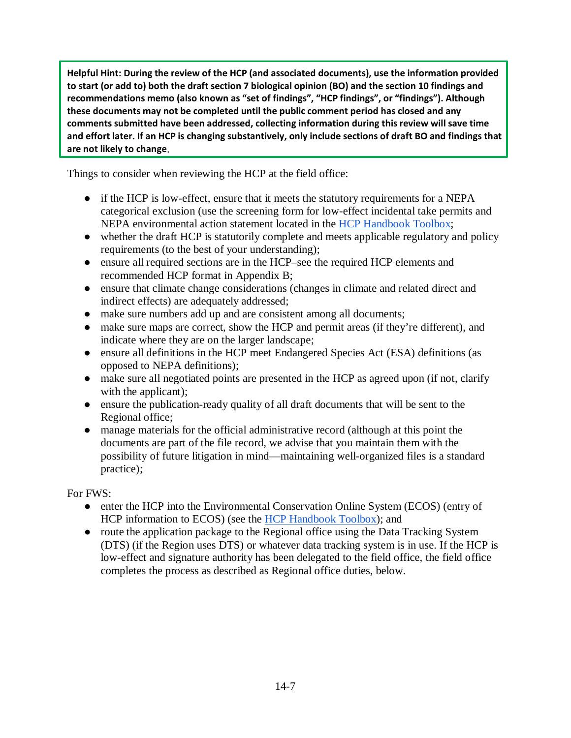**Helpful Hint: During the review of the HCP (and associated documents), use the information provided to start (or add to) both the draft section 7 biological opinion (BO) and the section 10 findings and recommendations memo (also known as "set of findings", "HCP findings", or "findings"). Although these documents may not be completed until the public comment period has closed and any comments submitted have been addressed, collecting information during this review will save time and effort later. If an HCP is changing substantively, only include sections of draft BO and findings that are not likely to change**.

Things to consider when reviewing the HCP at the field office:

- if the HCP is low-effect, ensure that it meets the statutory requirements for a NEPA categorical exclusion (use the screening form for low-effect incidental take permits and NEPA environmental action statement located in the [HCP Handbook Toolbox;](https://www.fws.gov/endangered/what-we-do/hcp-handbook-toolbox.html#Ch14)
- whether the draft HCP is statutorily complete and meets applicable regulatory and policy requirements (to the best of your understanding);
- ensure all required sections are in the HCP–see the required HCP elements and recommended HCP format in Appendix B;
- ensure that climate change considerations (changes in climate and related direct and indirect effects) are adequately addressed;
- make sure numbers add up and are consistent among all documents;
- make sure maps are correct, show the HCP and permit areas (if they're different), and indicate where they are on the larger landscape;
- ensure all definitions in the HCP meet Endangered Species Act (ESA) definitions (as opposed to NEPA definitions);
- make sure all negotiated points are presented in the HCP as agreed upon (if not, clarify with the applicant);
- ensure the publication-ready quality of all draft documents that will be sent to the Regional office;
- manage materials for the official administrative record (although at this point the documents are part of the file record, we advise that you maintain them with the possibility of future litigation in mind—maintaining well-organized files is a standard practice);

For FWS:

- enter the HCP into the Environmental Conservation Online System (ECOS) (entry of HCP information to ECOS) (see the [HCP Handbook Toolbox\)](https://www.fws.gov/endangered/what-we-do/hcp-handbook-toolbox.html#Ch14); and
- route the application package to the Regional office using the Data Tracking System (DTS) (if the Region uses DTS) or whatever data tracking system is in use. If the HCP is low-effect and signature authority has been delegated to the field office, the field office completes the process as described as Regional office duties, below.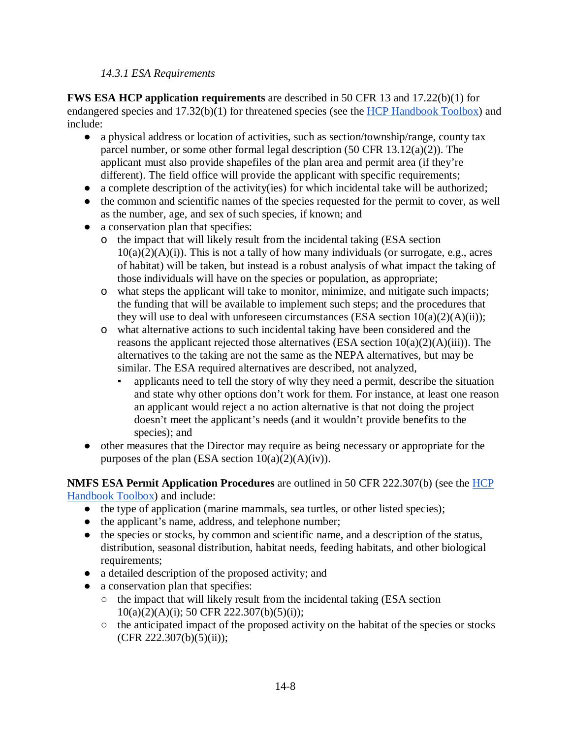#### *14.3.1 ESA Requirements*

**FWS ESA HCP application requirements** are described in 50 CFR 13 and 17.22(b)(1) for endangered species and 17.32(b)(1) for threatened species (see the [HCP Handbook Toolbox\)](https://www.fws.gov/endangered/what-we-do/hcp-handbook-toolbox.html#Ch14) and include:

- a physical address or location of activities, such as section/township/range, county tax parcel number, or some other formal legal description (50 CFR 13.12(a)(2)). The applicant must also provide shapefiles of the plan area and permit area (if they're different). The field office will provide the applicant with specific requirements;
- a complete description of the activity(ies) for which incidental take will be authorized;
- the common and scientific names of the species requested for the permit to cover, as well as the number, age, and sex of such species, if known; and
- a conservation plan that specifies:
	- o the impact that will likely result from the incidental taking (ESA section  $10(a)(2)(A)(i)$ . This is not a tally of how many individuals (or surrogate, e.g., acres of habitat) will be taken, but instead is a robust analysis of what impact the taking of those individuals will have on the species or population, as appropriate;
	- o what steps the applicant will take to monitor, minimize, and mitigate such impacts; the funding that will be available to implement such steps; and the procedures that they will use to deal with unforeseen circumstances (ESA section  $10(a)(2)(A)(ii)$ );
	- o what alternative actions to such incidental taking have been considered and the reasons the applicant rejected those alternatives (ESA section  $10(a)(2)(A)(iii)$ ). The alternatives to the taking are not the same as the NEPA alternatives, but may be similar. The ESA required alternatives are described, not analyzed,
		- applicants need to tell the story of why they need a permit, describe the situation and state why other options don't work for them. For instance, at least one reason an applicant would reject a no action alternative is that not doing the project doesn't meet the applicant's needs (and it wouldn't provide benefits to the species); and
- other measures that the Director may require as being necessary or appropriate for the purposes of the plan (ESA section  $10(a)(2)(A)(iv)$ ).

**NMFS ESA Permit Application Procedures** are outlined in 50 CFR 222.307(b) (see the [HCP](https://www.fws.gov/endangered/what-we-do/hcp-handbook-toolbox.html#Ch14)  [Handbook Toolbox\)](https://www.fws.gov/endangered/what-we-do/hcp-handbook-toolbox.html#Ch14) and include:

- the type of application (marine mammals, sea turtles, or other listed species);
- the applicant's name, address, and telephone number;
- the species or stocks, by common and scientific name, and a description of the status, distribution, seasonal distribution, habitat needs, feeding habitats, and other biological requirements;
- a detailed description of the proposed activity; and
- a conservation plan that specifies:
	- $\circ$  the impact that will likely result from the incidental taking (ESA section  $10(a)(2)(A)(i)$ ; 50 CFR 222.307(b)(5)(i));
	- the anticipated impact of the proposed activity on the habitat of the species or stocks  $(CFR 222.307(b)(5)(ii))$ ;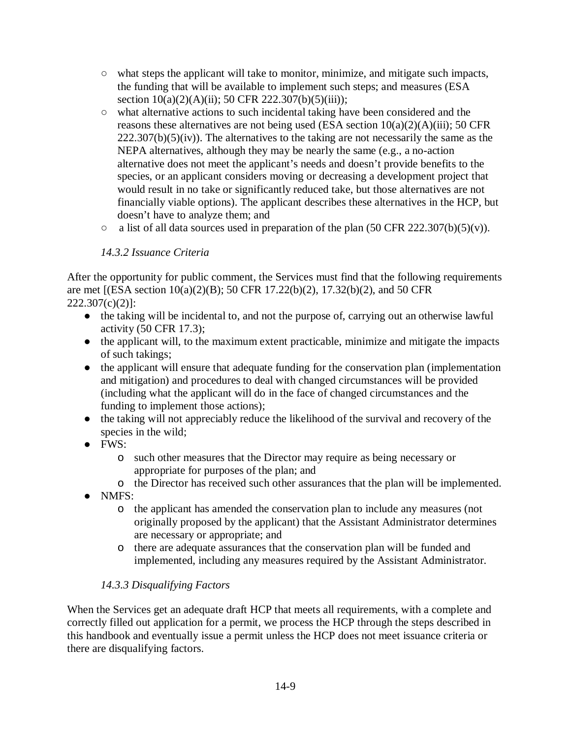- $\circ$  what steps the applicant will take to monitor, minimize, and mitigate such impacts, the funding that will be available to implement such steps; and measures (ESA section  $10(a)(2)(A)(ii)$ ; 50 CFR 222.307(b)(5)(iii));
- what alternative actions to such incidental taking have been considered and the reasons these alternatives are not being used (ESA section  $10(a)(2)(A)(iii)$ ; 50 CFR  $222.307(b)(5)(iv)$ . The alternatives to the taking are not necessarily the same as the NEPA alternatives, although they may be nearly the same (e.g., a no-action alternative does not meet the applicant's needs and doesn't provide benefits to the species, or an applicant considers moving or decreasing a development project that would result in no take or significantly reduced take, but those alternatives are not financially viable options). The applicant describes these alternatives in the HCP, but doesn't have to analyze them; and
- $\circ$  a list of all data sources used in preparation of the plan (50 CFR 222.307(b)(5)(v)).

# *14.3.2 Issuance Criteria*

After the opportunity for public comment, the Services must find that the following requirements are met [(ESA section 10(a)(2)(B); 50 CFR 17.22(b)(2), 17.32(b)(2), and 50 CFR  $222.307(c)(2)$ ]:

- the taking will be incidental to, and not the purpose of, carrying out an otherwise lawful activity (50 CFR 17.3);
- the applicant will, to the maximum extent practicable, minimize and mitigate the impacts of such takings;
- the applicant will ensure that adequate funding for the conservation plan (implementation and mitigation) and procedures to deal with changed circumstances will be provided (including what the applicant will do in the face of changed circumstances and the funding to implement those actions);
- the taking will not appreciably reduce the likelihood of the survival and recovery of the species in the wild;
- FWS:
	- o such other measures that the Director may require as being necessary or appropriate for purposes of the plan; and
	- o the Director has received such other assurances that the plan will be implemented.
- NMFS:
	- o the applicant has amended the conservation plan to include any measures (not originally proposed by the applicant) that the Assistant Administrator determines are necessary or appropriate; and
	- o there are adequate assurances that the conservation plan will be funded and implemented, including any measures required by the Assistant Administrator.

# *14.3.3 Disqualifying Factors*

When the Services get an adequate draft HCP that meets all requirements, with a complete and correctly filled out application for a permit, we process the HCP through the steps described in this handbook and eventually issue a permit unless the HCP does not meet issuance criteria or there are disqualifying factors.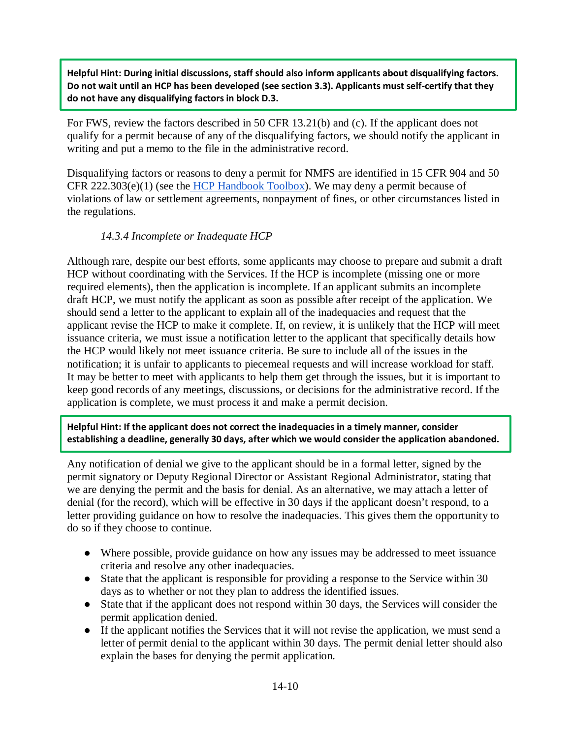**Helpful Hint: During initial discussions, staff should also inform applicants about disqualifying factors. Do not wait until an HCP has been developed (see section 3.3). Applicants must self-certify that they do not have any disqualifying factors in block D.3.** 

For FWS, review the factors described in 50 CFR 13.21(b) and (c). If the applicant does not qualify for a permit because of any of the disqualifying factors, we should notify the applicant in writing and put a memo to the file in the administrative record.

Disqualifying factors or reasons to deny a permit for NMFS are identified in 15 CFR 904 and 50 CFR 222.303(e)(1) (see the [HCP Handbook Toolbox\)](https://www.fws.gov/endangered/what-we-do/hcp-handbook-toolbox.html#Ch14). We may deny a permit because of violations of law or settlement agreements, nonpayment of fines, or other circumstances listed in the regulations.

## *14.3.4 Incomplete or Inadequate HCP*

Although rare, despite our best efforts, some applicants may choose to prepare and submit a draft HCP without coordinating with the Services. If the HCP is incomplete (missing one or more required elements), then the application is incomplete. If an applicant submits an incomplete draft HCP, we must notify the applicant as soon as possible after receipt of the application. We should send a letter to the applicant to explain all of the inadequacies and request that the applicant revise the HCP to make it complete. If, on review, it is unlikely that the HCP will meet issuance criteria, we must issue a notification letter to the applicant that specifically details how the HCP would likely not meet issuance criteria. Be sure to include all of the issues in the notification; it is unfair to applicants to piecemeal requests and will increase workload for staff. It may be better to meet with applicants to help them get through the issues, but it is important to keep good records of any meetings, discussions, or decisions for the administrative record. If the application is complete, we must process it and make a permit decision.

**Helpful Hint: If the applicant does not correct the inadequacies in a timely manner, consider establishing a deadline, generally 30 days, after which we would consider the application abandoned.**

Any notification of denial we give to the applicant should be in a formal letter, signed by the permit signatory or Deputy Regional Director or Assistant Regional Administrator, stating that we are denying the permit and the basis for denial. As an alternative, we may attach a letter of denial (for the record), which will be effective in 30 days if the applicant doesn't respond, to a letter providing guidance on how to resolve the inadequacies. This gives them the opportunity to do so if they choose to continue.

- Where possible, provide guidance on how any issues may be addressed to meet issuance criteria and resolve any other inadequacies.
- State that the applicant is responsible for providing a response to the Service within 30 days as to whether or not they plan to address the identified issues.
- State that if the applicant does not respond within 30 days, the Services will consider the permit application denied.
- If the applicant notifies the Services that it will not revise the application, we must send a letter of permit denial to the applicant within 30 days. The permit denial letter should also explain the bases for denying the permit application.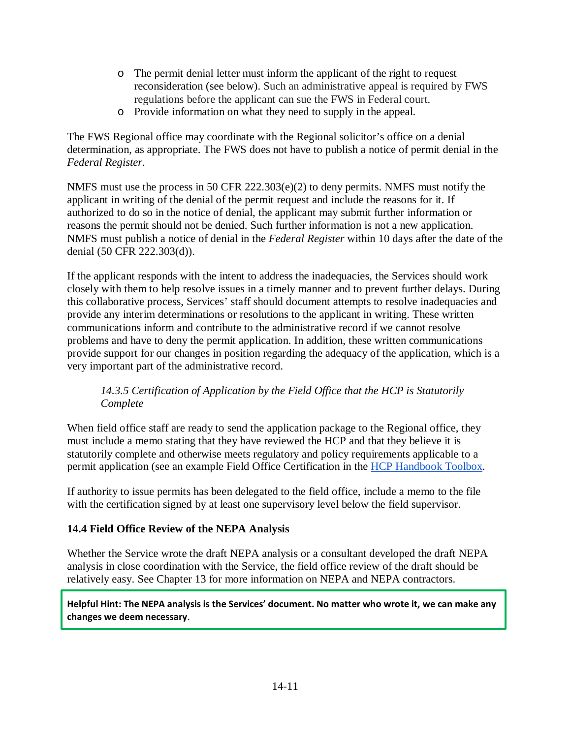- o The permit denial letter must inform the applicant of the right to request reconsideration (see below). Such an administrative appeal is required by FWS regulations before the applicant can sue the FWS in Federal court.
- o Provide information on what they need to supply in the appeal.

The FWS Regional office may coordinate with the Regional solicitor's office on a denial determination, as appropriate. The FWS does not have to publish a notice of permit denial in the *Federal Register*.

NMFS must use the process in 50 CFR 222.303(e)(2) to deny permits. NMFS must notify the applicant in writing of the denial of the permit request and include the reasons for it. If authorized to do so in the notice of denial, the applicant may submit further information or reasons the permit should not be denied. Such further information is not a new application. NMFS must publish a notice of denial in the *Federal Register* within 10 days after the date of the denial (50 CFR 222.303(d)).

If the applicant responds with the intent to address the inadequacies, the Services should work closely with them to help resolve issues in a timely manner and to prevent further delays. During this collaborative process, Services' staff should document attempts to resolve inadequacies and provide any interim determinations or resolutions to the applicant in writing. These written communications inform and contribute to the administrative record if we cannot resolve problems and have to deny the permit application. In addition, these written communications provide support for our changes in position regarding the adequacy of the application, which is a very important part of the administrative record.

## *14.3.5 Certification of Application by the Field Office that the HCP is Statutorily Complete*

When field office staff are ready to send the application package to the Regional office, they must include a memo stating that they have reviewed the HCP and that they believe it is statutorily complete and otherwise meets regulatory and policy requirements applicable to a permit application (see an example Field Office Certification in the [HCP Handbook Toolbox.](https://www.fws.gov/endangered/what-we-do/hcp-handbook-toolbox.html#Ch14)

If authority to issue permits has been delegated to the field office, include a memo to the file with the certification signed by at least one supervisory level below the field supervisor.

## **14.4 Field Office Review of the NEPA Analysis**

Whether the Service wrote the draft NEPA analysis or a consultant developed the draft NEPA analysis in close coordination with the Service, the field office review of the draft should be relatively easy. See Chapter 13 for more information on NEPA and NEPA contractors.

**Helpful Hint: The NEPA analysis is the Services' document. No matter who wrote it, we can make any changes we deem necessary**.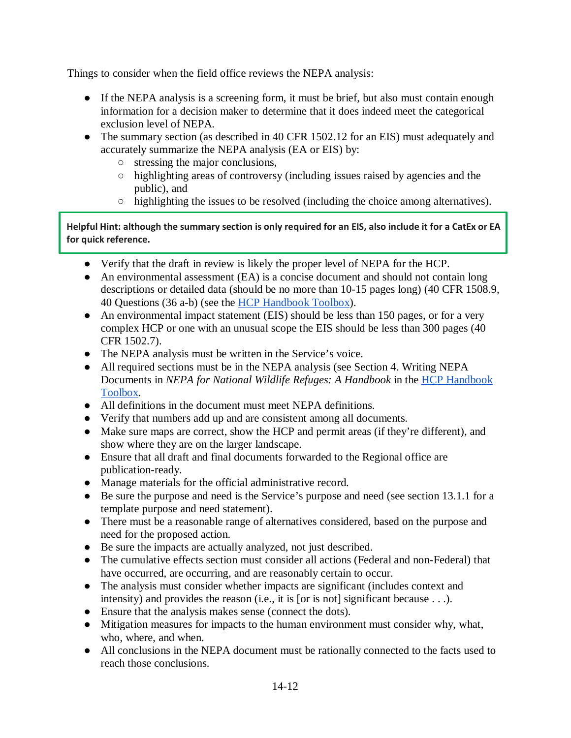Things to consider when the field office reviews the NEPA analysis:

- If the NEPA analysis is a screening form, it must be brief, but also must contain enough information for a decision maker to determine that it does indeed meet the categorical exclusion level of NEPA.
- The summary section (as described in 40 CFR 1502.12 for an EIS) must adequately and accurately summarize the NEPA analysis (EA or EIS) by:
	- stressing the major conclusions,
	- highlighting areas of controversy (including issues raised by agencies and the public), and
	- $\circ$  highlighting the issues to be resolved (including the choice among alternatives).

**Helpful Hint: although the summary section is only required for an EIS, also include it for a CatEx or EA for quick reference.** 

- Verify that the draft in review is likely the proper level of NEPA for the HCP.
- An environmental assessment (EA) is a concise document and should not contain long descriptions or detailed data (should be no more than 10-15 pages long) (40 CFR 1508.9, 40 Questions (36 a-b) (see the HCP [Handbook Toolbox\)](https://www.fws.gov/endangered/what-we-do/hcp-handbook-toolbox.html#Ch14).
- An environmental impact statement (EIS) should be less than 150 pages, or for a very complex HCP or one with an unusual scope the EIS should be less than 300 pages (40 CFR 1502.7).
- The NEPA analysis must be written in the Service's voice.
- All required sections must be in the NEPA analysis (see Section 4. Writing NEPA Documents in *NEPA for National Wildlife Refuges: A Handbook* in the [HCP Handbook](https://www.fws.gov/endangered/what-we-do/hcp-handbook-toolbox.html#Ch14)  [Toolbox.](https://www.fws.gov/endangered/what-we-do/hcp-handbook-toolbox.html#Ch14)
- All definitions in the document must meet NEPA definitions.
- Verify that numbers add up and are consistent among all documents.
- Make sure maps are correct, show the HCP and permit areas (if they're different), and show where they are on the larger landscape.
- Ensure that all draft and final documents forwarded to the Regional office are publication-ready.
- Manage materials for the official administrative record.
- Be sure the purpose and need is the Service's purpose and need (see section 13.1.1 for a template purpose and need statement).
- There must be a reasonable range of alternatives considered, based on the purpose and need for the proposed action.
- Be sure the impacts are actually analyzed, not just described.
- The cumulative effects section must consider all actions (Federal and non-Federal) that have occurred, are occurring, and are reasonably certain to occur.
- The analysis must consider whether impacts are significant (includes context and intensity) and provides the reason (i.e., it is [or is not] significant because . . .).
- Ensure that the analysis makes sense (connect the dots).
- Mitigation measures for impacts to the human environment must consider why, what, who, where, and when.
- All conclusions in the NEPA document must be rationally connected to the facts used to reach those conclusions.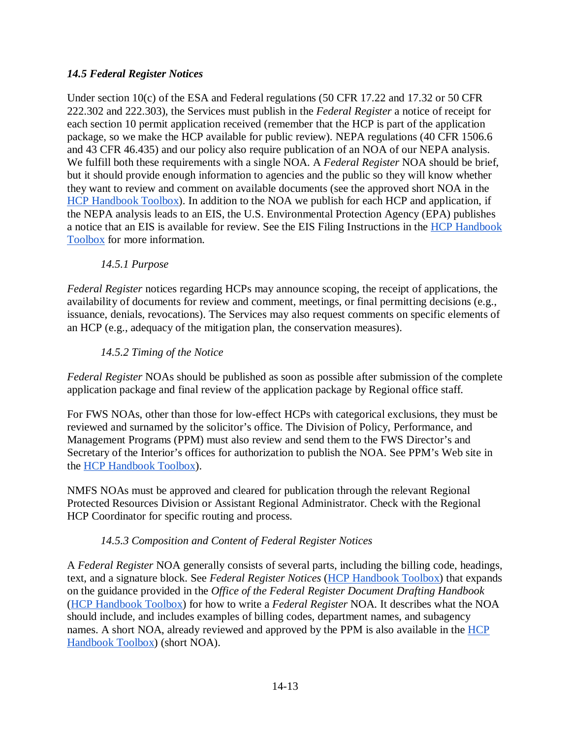## *14.5 Federal Register Notices*

Under section 10(c) of the ESA and Federal regulations (50 CFR 17.22 and 17.32 or 50 CFR 222.302 and 222.303), the Services must publish in the *Federal Register* a notice of receipt for each section 10 permit application received (remember that the HCP is part of the application package, so we make the HCP available for public review). NEPA regulations (40 CFR 1506.6 and 43 CFR 46.435) and our policy also require publication of an NOA of our NEPA analysis. We fulfill both these requirements with a single NOA. A *Federal Register* NOA should be brief, but it should provide enough information to agencies and the public so they will know whether they want to review and comment on available documents (see the approved short NOA in the [HCP Handbook Toolbox\)](https://www.fws.gov/endangered/what-we-do/hcp-handbook-toolbox.html#Ch14). In addition to the NOA we publish for each HCP and application, if the NEPA analysis leads to an EIS, the U.S. Environmental Protection Agency (EPA) publishes a notice that an EIS is available for review. See the EIS Filing Instructions in the [HCP Handbook](https://www.fws.gov/endangered/what-we-do/hcp-handbook-toolbox.html#Ch14)  [Toolbox](https://www.fws.gov/endangered/what-we-do/hcp-handbook-toolbox.html#Ch14) for more information.

## *14.5.1 Purpose*

*Federal Register* notices regarding HCPs may announce scoping, the receipt of applications, the availability of documents for review and comment, meetings, or final permitting decisions (e.g., issuance, denials, revocations). The Services may also request comments on specific elements of an HCP (e.g., adequacy of the mitigation plan, the conservation measures).

## *14.5.2 Timing of the Notice*

*Federal Register* NOAs should be published as soon as possible after submission of the complete application package and final review of the application package by Regional office staff.

For FWS NOAs, other than those for low-effect HCPs with categorical exclusions, they must be reviewed and surnamed by the solicitor's office. The Division of Policy, Performance, and Management Programs (PPM) must also review and send them to the FWS Director's and Secretary of the Interior's offices for authorization to publish the NOA. See PPM's Web site in the [HCP Handbook Toolbox\)](https://www.fws.gov/endangered/what-we-do/hcp-handbook-toolbox.html#Ch14).

NMFS NOAs must be approved and cleared for publication through the relevant Regional Protected Resources Division or Assistant Regional Administrator. Check with the Regional HCP Coordinator for specific routing and process.

#### *14.5.3 Composition and Content of Federal Register Notices*

A *Federal Register* NOA generally consists of several parts, including the billing code, headings, text, and a signature block. See *Federal Register Notices* [\(HCP Handbook Toolbox\)](https://www.fws.gov/endangered/what-we-do/hcp-handbook-toolbox.html#Ch14) that expands on the guidance provided in the *Office of the Federal Register Document Drafting Handbook* [\(HCP Handbook Toolbox\)](https://www.fws.gov/endangered/what-we-do/hcp-handbook-toolbox.html#Ch14) for how to write a *Federal Register* NOA. It describes what the NOA should include, and includes examples of billing codes, department names, and subagency names. A short NOA, already reviewed and approved by the PPM is also available in the HCP [Handbook Toolbox\)](https://www.fws.gov/endangered/what-we-do/hcp-handbook-toolbox.html#Ch14) (short NOA).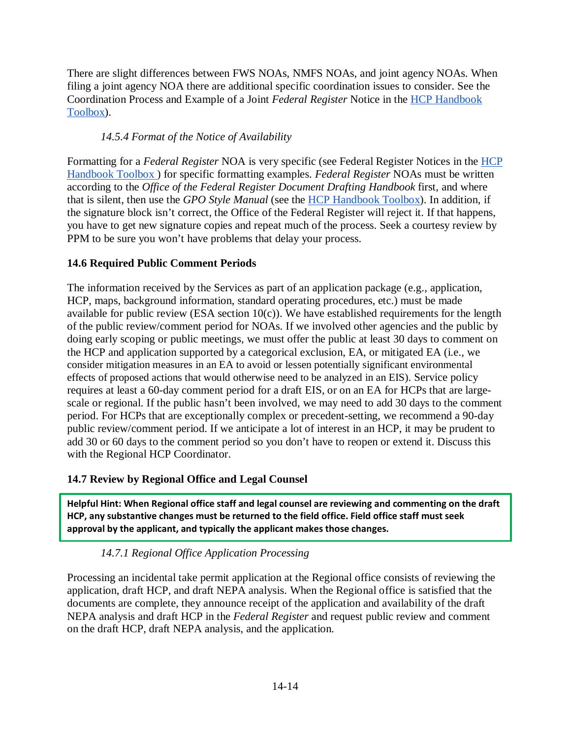There are slight differences between FWS NOAs, NMFS NOAs, and joint agency NOAs. When filing a joint agency NOA there are additional specific coordination issues to consider. See the Coordination Process and Example of a Joint *Federal Register* Notice in the [HCP Handbook](https://www.fws.gov/endangered/what-we-do/hcp-handbook-toolbox.html#Ch14)  [Toolbox\)](https://www.fws.gov/endangered/what-we-do/hcp-handbook-toolbox.html#Ch14).

## *14.5.4 Format of the Notice of Availability*

Formatting for a *Federal Register* NOA is very specific (see Federal Register Notices in the [HCP](https://www.fws.gov/endangered/what-we-do/hcp-handbook-toolbox.html#Ch14)  [Handbook Toolbox \)](https://www.fws.gov/endangered/what-we-do/hcp-handbook-toolbox.html#Ch14) for specific formatting examples. *Federal Register* NOAs must be written according to the *Office of the Federal Register Document Drafting Handbook* first, and where that is silent, then use the *GPO Style Manual* (see the [HCP Handbook Toolbox\)](https://www.fws.gov/endangered/what-we-do/hcp-handbook-toolbox.html#Ch14). In addition, if the signature block isn't correct, the Office of the Federal Register will reject it. If that happens, you have to get new signature copies and repeat much of the process. Seek a courtesy review by PPM to be sure you won't have problems that delay your process.

# **14.6 Required Public Comment Periods**

The information received by the Services as part of an application package (e.g., application, HCP, maps, background information, standard operating procedures, etc.) must be made available for public review (ESA section  $10(c)$ ). We have established requirements for the length of the public review/comment period for NOAs. If we involved other agencies and the public by doing early scoping or public meetings, we must offer the public at least 30 days to comment on the HCP and application supported by a categorical exclusion, EA, or mitigated EA (i.e., we consider mitigation measures in an EA to avoid or lessen potentially significant environmental effects of proposed actions that would otherwise need to be analyzed in an EIS). Service policy requires at least a 60-day comment period for a draft EIS, or on an EA for HCPs that are largescale or regional. If the public hasn't been involved, we may need to add 30 days to the comment period. For HCPs that are exceptionally complex or precedent-setting, we recommend a 90-day public review/comment period. If we anticipate a lot of interest in an HCP, it may be prudent to add 30 or 60 days to the comment period so you don't have to reopen or extend it. Discuss this with the Regional HCP Coordinator.

## **14.7 Review by Regional Office and Legal Counsel**

**Helpful Hint: When Regional office staff and legal counsel are reviewing and commenting on the draft HCP, any substantive changes must be returned to the field office. Field office staff must seek approval by the applicant, and typically the applicant makes those changes.** 

## *14.7.1 Regional Office Application Processing*

Processing an incidental take permit application at the Regional office consists of reviewing the application, draft HCP, and draft NEPA analysis. When the Regional office is satisfied that the documents are complete, they announce receipt of the application and availability of the draft NEPA analysis and draft HCP in the *Federal Register* and request public review and comment on the draft HCP, draft NEPA analysis, and the application.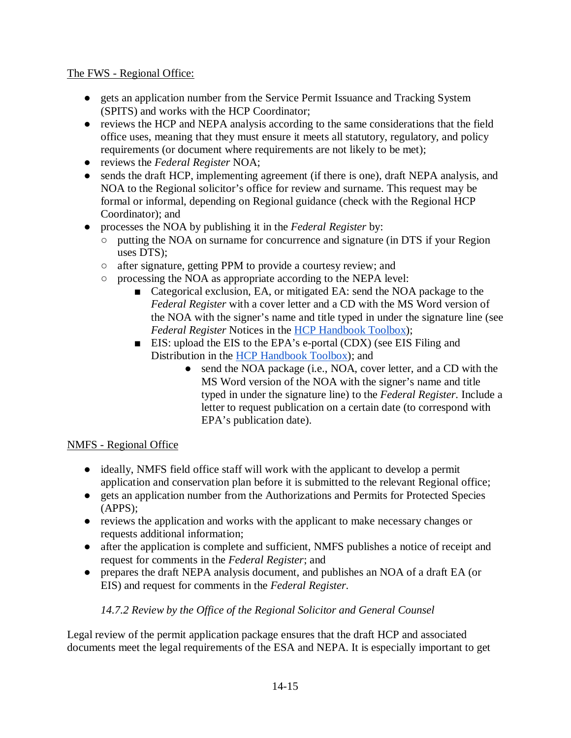#### The FWS - Regional Office:

- gets an application number from the Service Permit Issuance and Tracking System (SPITS) and works with the HCP Coordinator;
- reviews the HCP and NEPA analysis according to the same considerations that the field office uses, meaning that they must ensure it meets all statutory, regulatory, and policy requirements (or document where requirements are not likely to be met);
- reviews the *Federal Register* NOA;
- sends the draft HCP, implementing agreement (if there is one), draft NEPA analysis, and NOA to the Regional solicitor's office for review and surname. This request may be formal or informal, depending on Regional guidance (check with the Regional HCP Coordinator); and
- processes the NOA by publishing it in the *Federal Register* by:
	- putting the NOA on surname for concurrence and signature (in DTS if your Region uses DTS);
	- after signature, getting PPM to provide a courtesy review; and
	- processing the NOA as appropriate according to the NEPA level:
		- Categorical exclusion, EA, or mitigated EA: send the NOA package to the *Federal Register* with a cover letter and a CD with the MS Word version of the NOA with the signer's name and title typed in under the signature line (see *Federal Register* Notices in the [HCP Handbook Toolbox\)](https://www.fws.gov/endangered/what-we-do/hcp-handbook-toolbox.html#Ch14);
		- EIS: upload the EIS to the EPA's e-portal (CDX) (see EIS Filing and Distribution in the [HCP Handbook Toolbox\)](https://www.fws.gov/endangered/what-we-do/hcp-handbook-toolbox.html#Ch14); and
			- send the NOA package (i.e., NOA, cover letter, and a CD with the MS Word version of the NOA with the signer's name and title typed in under the signature line) to the *Federal Register*. Include a letter to request publication on a certain date (to correspond with EPA's publication date).

#### NMFS - Regional Office

- ideally, NMFS field office staff will work with the applicant to develop a permit application and conservation plan before it is submitted to the relevant Regional office;
- gets an application number from the Authorizations and Permits for Protected Species (APPS);
- reviews the application and works with the applicant to make necessary changes or requests additional information;
- after the application is complete and sufficient, NMFS publishes a notice of receipt and request for comments in the *Federal Register*; and
- prepares the draft NEPA analysis document, and publishes an NOA of a draft EA (or EIS) and request for comments in the *Federal Register*.

#### *14.7.2 Review by the Office of the Regional Solicitor and General Counsel*

Legal review of the permit application package ensures that the draft HCP and associated documents meet the legal requirements of the ESA and NEPA. It is especially important to get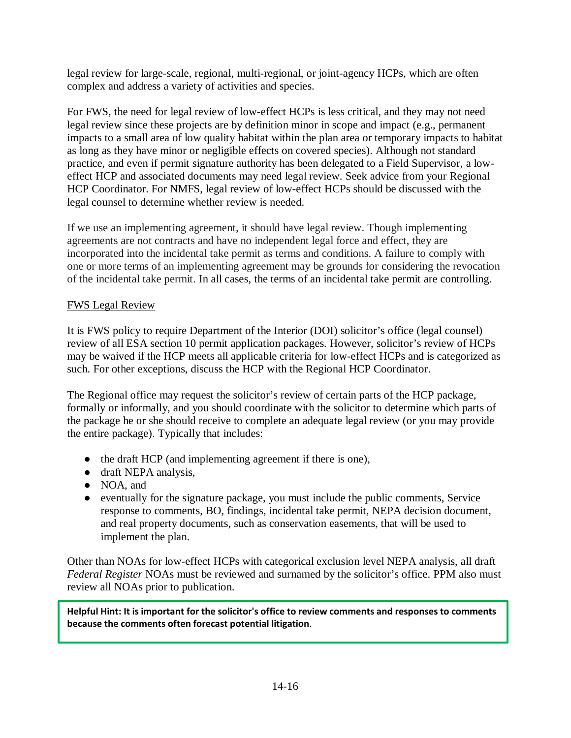legal review for large-scale, regional, multi-regional, or joint-agency HCPs, which are often complex and address a variety of activities and species.

For FWS, the need for legal review of low-effect HCPs is less critical, and they may not need legal review since these projects are by definition minor in scope and impact (e.g., permanent impacts to a small area of low quality habitat within the plan area or temporary impacts to habitat as long as they have minor or negligible effects on covered species). Although not standard practice, and even if permit signature authority has been delegated to a Field Supervisor, a loweffect HCP and associated documents may need legal review. Seek advice from your Regional HCP Coordinator. For NMFS, legal review of low-effect HCPs should be discussed with the legal counsel to determine whether review is needed.

If we use an implementing agreement, it should have legal review. Though implementing agreements are not contracts and have no independent legal force and effect, they are incorporated into the incidental take permit as terms and conditions. A failure to comply with one or more terms of an implementing agreement may be grounds for considering the revocation of the incidental take permit. In all cases, the terms of an incidental take permit are controlling.

## FWS Legal Review

It is FWS policy to require Department of the Interior (DOI) solicitor's office (legal counsel) review of all ESA section 10 permit application packages. However, solicitor's review of HCPs may be waived if the HCP meets all applicable criteria for low-effect HCPs and is categorized as such. For other exceptions, discuss the HCP with the Regional HCP Coordinator.

The Regional office may request the solicitor's review of certain parts of the HCP package, formally or informally, and you should coordinate with the solicitor to determine which parts of the package he or she should receive to complete an adequate legal review (or you may provide the entire package). Typically that includes:

- the draft HCP (and implementing agreement if there is one),
- draft NEPA analysis,
- NOA, and
- eventually for the signature package, you must include the public comments, Service response to comments, BO, findings, incidental take permit, NEPA decision document, and real property documents, such as conservation easements, that will be used to implement the plan.

Other than NOAs for low-effect HCPs with categorical exclusion level NEPA analysis, all draft *Federal Register* NOAs must be reviewed and surnamed by the solicitor's office. PPM also must review all NOAs prior to publication.

**Helpful Hint: It is important for the solicitor's office to review comments and responses to comments because the comments often forecast potential litigation**.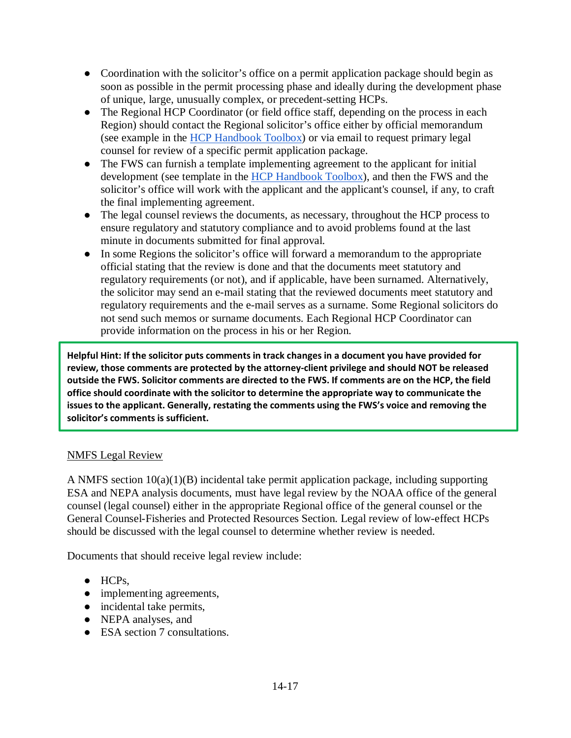- Coordination with the solicitor's office on a permit application package should begin as soon as possible in the permit processing phase and ideally during the development phase of unique, large, unusually complex, or precedent-setting HCPs.
- The Regional HCP Coordinator (or field office staff, depending on the process in each Region) should contact the Regional solicitor's office either by official memorandum (see example in the [HCP Handbook Toolbox\)](https://www.fws.gov/endangered/what-we-do/hcp-handbook-toolbox.html#Ch14) or via email to request primary legal counsel for review of a specific permit application package.
- The FWS can furnish a template implementing agreement to the applicant for initial development (see template in the [HCP Handbook Toolbox\)](https://www.fws.gov/endangered/what-we-do/hcp-handbook-toolbox.html#Ch14), and then the FWS and the solicitor's office will work with the applicant and the applicant's counsel, if any, to craft the final implementing agreement.
- The legal counsel reviews the documents, as necessary, throughout the HCP process to ensure regulatory and statutory compliance and to avoid problems found at the last minute in documents submitted for final approval.
- In some Regions the solicitor's office will forward a memorandum to the appropriate official stating that the review is done and that the documents meet statutory and regulatory requirements (or not), and if applicable, have been surnamed. Alternatively, the solicitor may send an e-mail stating that the reviewed documents meet statutory and regulatory requirements and the e-mail serves as a surname. Some Regional solicitors do not send such memos or surname documents. Each Regional HCP Coordinator can provide information on the process in his or her Region.

**Helpful Hint: If the solicitor puts comments in track changes in a document you have provided for review, those comments are protected by the attorney-client privilege and should NOT be released outside the FWS. Solicitor comments are directed to the FWS. If comments are on the HCP, the field office should coordinate with the solicitor to determine the appropriate way to communicate the issues to the applicant. Generally, restating the comments using the FWS's voice and removing the solicitor's comments is sufficient.** 

#### NMFS Legal Review

A NMFS section  $10(a)(1)(B)$  incidental take permit application package, including supporting ESA and NEPA analysis documents, must have legal review by the NOAA office of the general counsel (legal counsel) either in the appropriate Regional office of the general counsel or the General Counsel-Fisheries and Protected Resources Section. Legal review of low-effect HCPs should be discussed with the legal counsel to determine whether review is needed.

Documents that should receive legal review include:

- HCPs,
- implementing agreements,
- incidental take permits,
- NEPA analyses, and
- ESA section 7 consultations.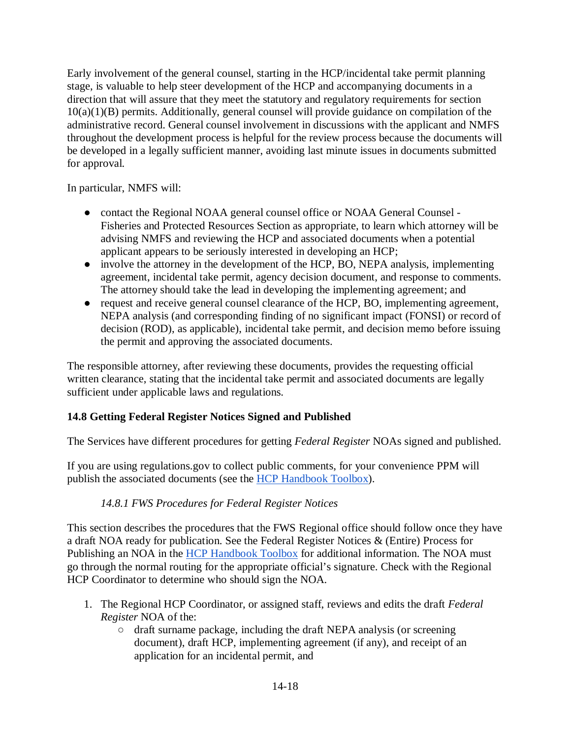Early involvement of the general counsel, starting in the HCP/incidental take permit planning stage, is valuable to help steer development of the HCP and accompanying documents in a direction that will assure that they meet the statutory and regulatory requirements for section 10(a)(1)(B) permits. Additionally, general counsel will provide guidance on compilation of the administrative record. General counsel involvement in discussions with the applicant and NMFS throughout the development process is helpful for the review process because the documents will be developed in a legally sufficient manner, avoiding last minute issues in documents submitted for approval.

In particular, NMFS will:

- contact the Regional NOAA general counsel office or NOAA General Counsel -Fisheries and Protected Resources Section as appropriate, to learn which attorney will be advising NMFS and reviewing the HCP and associated documents when a potential applicant appears to be seriously interested in developing an HCP;
- involve the attorney in the development of the HCP, BO, NEPA analysis, implementing agreement, incidental take permit, agency decision document, and response to comments. The attorney should take the lead in developing the implementing agreement; and
- request and receive general counsel clearance of the HCP, BO, implementing agreement, NEPA analysis (and corresponding finding of no significant impact (FONSI) or record of decision (ROD), as applicable), incidental take permit, and decision memo before issuing the permit and approving the associated documents.

The responsible attorney, after reviewing these documents, provides the requesting official written clearance, stating that the incidental take permit and associated documents are legally sufficient under applicable laws and regulations.

## **14.8 Getting Federal Register Notices Signed and Published**

The Services have different procedures for getting *Federal Register* NOAs signed and published.

If you are using regulations.gov to collect public comments, for your convenience PPM will publish the associated documents (see the [HCP Handbook Toolbox\)](https://www.fws.gov/endangered/what-we-do/hcp-handbook-toolbox.html#Ch14).

## *14.8.1 FWS Procedures for Federal Register Notices*

This section describes the procedures that the FWS Regional office should follow once they have a draft NOA ready for publication. See the Federal Register Notices & (Entire) Process for Publishing an NOA in the [HCP Handbook Toolbox](https://www.fws.gov/endangered/what-we-do/hcp-handbook-toolbox.html#Ch14) for additional information. The NOA must go through the normal routing for the appropriate official's signature. Check with the Regional HCP Coordinator to determine who should sign the NOA.

- 1. The Regional HCP Coordinator, or assigned staff, reviews and edits the draft *Federal Register* NOA of the:
	- draft surname package, including the draft NEPA analysis (or screening document), draft HCP, implementing agreement (if any), and receipt of an application for an incidental permit, and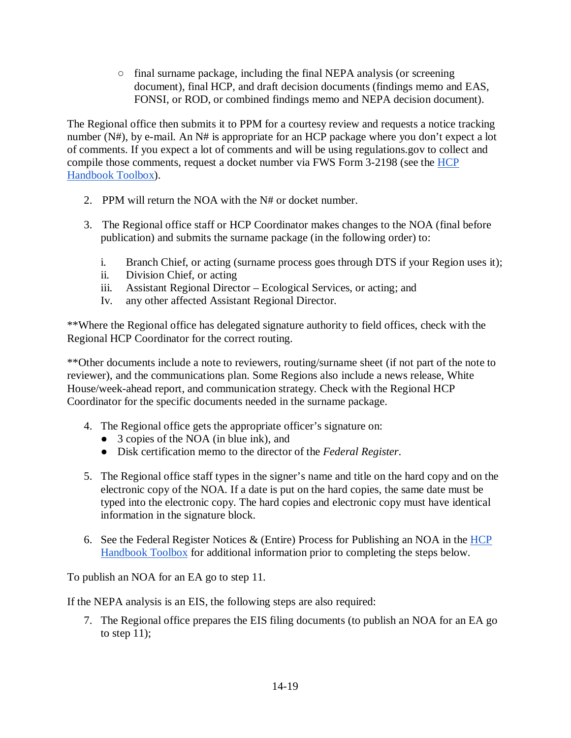○ final surname package, including the final NEPA analysis (or screening document), final HCP, and draft decision documents (findings memo and EAS, FONSI, or ROD, or combined findings memo and NEPA decision document).

The Regional office then submits it to PPM for a courtesy review and requests a notice tracking number (N#), by e-mail. An N# is appropriate for an HCP package where you don't expect a lot of comments. If you expect a lot of comments and will be using regulations.gov to collect and compile those comments, request a docket number via FWS Form 3-2198 (see the HCP [Handbook Toolbox\)](https://www.fws.gov/endangered/what-we-do/hcp-handbook-toolbox.html#Ch14).

- 2. PPM will return the NOA with the N# or docket number.
- 3. The Regional office staff or HCP Coordinator makes changes to the NOA (final before publication) and submits the surname package (in the following order) to:
	- i. Branch Chief, or acting (surname process goes through DTS if your Region uses it);
	- ii. Division Chief, or acting
	- iii. Assistant Regional Director Ecological Services, or acting; and
	- Iv. any other affected Assistant Regional Director.

\*\*Where the Regional office has delegated signature authority to field offices, check with the Regional HCP Coordinator for the correct routing.

\*\*Other documents include a note to reviewers, routing/surname sheet (if not part of the note to reviewer), and the communications plan. Some Regions also include a news release, White House/week-ahead report, and communication strategy. Check with the Regional HCP Coordinator for the specific documents needed in the surname package.

- 4. The Regional office gets the appropriate officer's signature on:
	- 3 copies of the NOA (in blue ink), and
	- Disk certification memo to the director of the *Federal Register*.
- 5. The Regional office staff types in the signer's name and title on the hard copy and on the electronic copy of the NOA. If a date is put on the hard copies, the same date must be typed into the electronic copy. The hard copies and electronic copy must have identical information in the signature block.
- 6. See the Federal Register Notices & (Entire) Process for Publishing an NOA in the HCP [Handbook Toolbox](https://www.fws.gov/endangered/what-we-do/hcp-handbook-toolbox.html#Ch14) for additional information prior to completing the steps below.

To publish an NOA for an EA go to step 11.

If the NEPA analysis is an EIS, the following steps are also required:

7. The Regional office prepares the EIS filing documents (to publish an NOA for an EA go to step  $11$ ;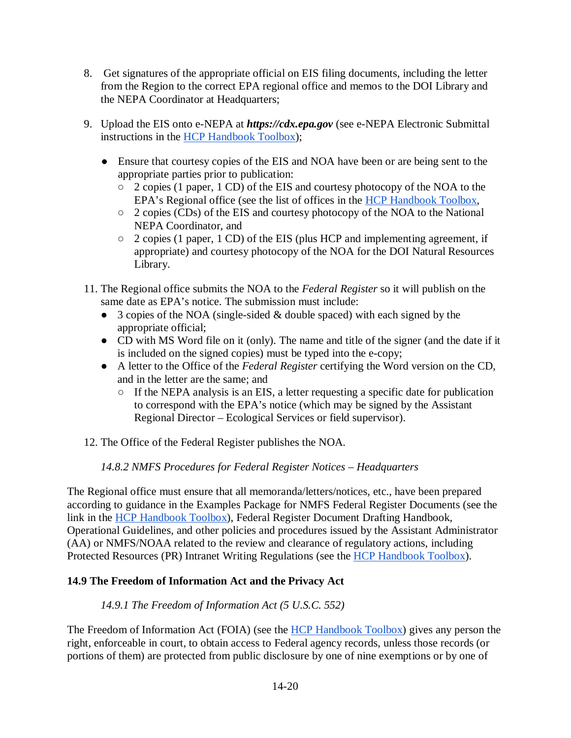- 8. Get signatures of the appropriate official on EIS filing documents, including the letter from the Region to the correct EPA regional office and memos to the DOI Library and the NEPA Coordinator at Headquarters;
- 9. Upload the EIS onto e-NEPA at *https://cdx.epa.gov* (see e-NEPA Electronic Submittal instructions in the [HCP Handbook Toolbox\)](https://www.fws.gov/endangered/what-we-do/hcp-handbook-toolbox.html#Ch14);
	- Ensure that courtesy copies of the EIS and NOA have been or are being sent to the appropriate parties prior to publication:
		- 2 copies (1 paper, 1 CD) of the EIS and courtesy photocopy of the NOA to the EPA's Regional office (see the list of offices in the [HCP Handbook Toolbox,](https://www.fws.gov/endangered/what-we-do/hcp-handbook-toolbox.html#Ch14)
		- 2 copies (CDs) of the EIS and courtesy photocopy of the NOA to the National NEPA Coordinator, and
		- 2 copies (1 paper, 1 CD) of the EIS (plus HCP and implementing agreement, if appropriate) and courtesy photocopy of the NOA for the DOI Natural Resources Library.
- 11. The Regional office submits the NOA to the *Federal Register* so it will publish on the same date as EPA's notice. The submission must include:
	- 3 copies of the NOA (single-sided & double spaced) with each signed by the appropriate official;
	- CD with MS Word file on it (only). The name and title of the signer (and the date if it is included on the signed copies) must be typed into the e-copy;
	- A letter to the Office of the *Federal Register* certifying the Word version on the CD, and in the letter are the same; and
		- $\circ$  If the NEPA analysis is an EIS, a letter requesting a specific date for publication to correspond with the EPA's notice (which may be signed by the Assistant Regional Director – Ecological Services or field supervisor).
- 12. The Office of the Federal Register publishes the NOA.

## *14.8.2 NMFS Procedures for Federal Register Notices – Headquarters*

The Regional office must ensure that all memoranda/letters/notices, etc., have been prepared according to guidance in the Examples Package for NMFS Federal Register Documents (see the link in the **HCP Handbook Toolbox**), Federal Register Document Drafting Handbook, Operational Guidelines, and other policies and procedures issued by the Assistant Administrator (AA) or NMFS/NOAA related to the review and clearance of regulatory actions, including Protected Resources (PR) Intranet Writing Regulations (see the [HCP Handbook Toolbox\)](https://www.fws.gov/endangered/what-we-do/hcp-handbook-toolbox.html#Ch14).

## **14.9 The Freedom of Information Act and the Privacy Act**

## *14.9.1 The Freedom of Information Act (5 U.S.C. 552)*

The Freedom of Information Act (FOIA) (see the [HCP Handbook Toolbox\)](https://www.fws.gov/endangered/what-we-do/hcp-handbook-toolbox.html#Ch14) gives any person the right, enforceable in court, to obtain access to Federal agency records, unless those records (or portions of them) are protected from public disclosure by one of nine exemptions or by one of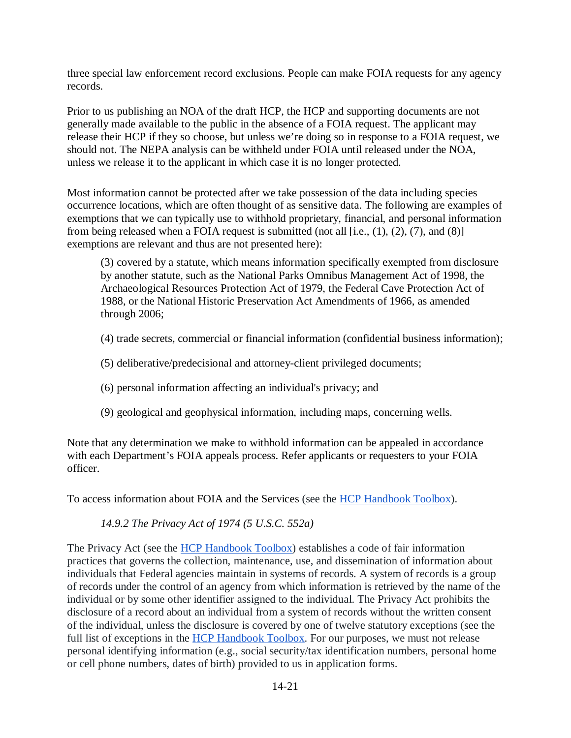three special law enforcement record exclusions. People can make FOIA requests for any agency records.

Prior to us publishing an NOA of the draft HCP, the HCP and supporting documents are not generally made available to the public in the absence of a FOIA request. The applicant may release their HCP if they so choose, but unless we're doing so in response to a FOIA request, we should not. The NEPA analysis can be withheld under FOIA until released under the NOA, unless we release it to the applicant in which case it is no longer protected.

Most information cannot be protected after we take possession of the data including species occurrence locations, which are often thought of as sensitive data. The following are examples of exemptions that we can typically use to withhold proprietary, financial, and personal information from being released when a FOIA request is submitted (not all [i.e.,  $(1)$ ,  $(2)$ ,  $(7)$ , and  $(8)$ ] exemptions are relevant and thus are not presented here):

(3) covered by a statute, which means information specifically exempted from disclosure by another statute, such as the National Parks Omnibus Management Act of 1998, the Archaeological Resources Protection Act of 1979, the Federal Cave Protection Act of 1988, or the National Historic Preservation Act Amendments of 1966, as amended through 2006;

- (4) trade secrets, commercial or financial information (confidential business information);
- (5) deliberative/predecisional and attorney-client privileged documents;
- (6) personal information affecting an individual's privacy; and
- (9) geological and geophysical information, including maps, concerning wells.

Note that any determination we make to withhold information can be appealed in accordance with each Department's FOIA appeals process. Refer applicants or requesters to your FOIA officer.

To access information about FOIA and the Services (see the [HCP Handbook Toolbox\)](https://www.fws.gov/endangered/what-we-do/hcp-handbook-toolbox.html#Ch14).

#### *14.9.2 The [Privacy Act of 1974 \(5 U.S.C. 552a\)](http://www.gpo.gov/fdsys/pkg/USCODE-2012-title5/pdf/USCODE-2012-title5-partI-chap5-subchapII-sec552a.pdf)*

The Privacy Act (see the [HCP Handbook Toolbox\)](https://www.fws.gov/endangered/what-we-do/hcp-handbook-toolbox.html#Ch14) establishes a code of fair information practices that governs the collection, maintenance, use, and dissemination of information about individuals that Federal agencies maintain in systems of records. A system of records is a group of records under the control of an agency from which information is retrieved by the name of the individual or by some other identifier assigned to the individual. The Privacy Act prohibits the disclosure of a record about an individual from a system of records without the written consent of the individual, unless the disclosure is covered by one of twelve statutory exceptions (see the full list of exceptions in the [HCP Handbook Toolbox.](https://www.fws.gov/endangered/what-we-do/hcp-handbook-toolbox.html#Ch14) For our purposes, we must not release personal identifying information (e.g., social security/tax identification numbers, personal home or cell phone numbers, dates of birth) provided to us in application forms.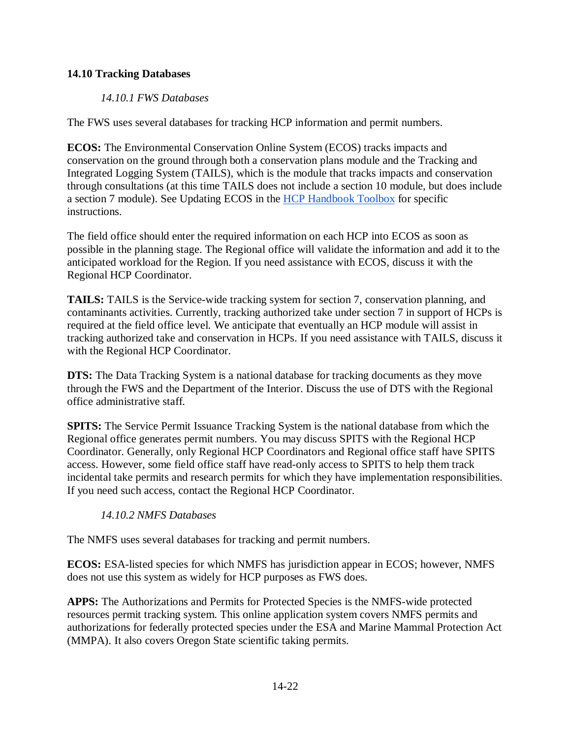## **14.10 Tracking Databases**

## *14.10.1 FWS Databases*

The FWS uses several databases for tracking HCP information and permit numbers.

**ECOS:** The Environmental Conservation Online System (ECOS) tracks impacts and conservation on the ground through both a conservation plans module and the Tracking and Integrated Logging System (TAILS), which is the module that tracks impacts and conservation through consultations (at this time TAILS does not include a section 10 module, but does include a section 7 module). See Updating ECOS in the [HCP Handbook Toolbox](https://www.fws.gov/endangered/what-we-do/hcp-handbook-toolbox.html#Ch14) for specific instructions.

The field office should enter the required information on each HCP into ECOS as soon as possible in the planning stage. The Regional office will validate the information and add it to the anticipated workload for the Region. If you need assistance with ECOS, discuss it with the Regional HCP Coordinator.

**TAILS:** TAILS is the Service-wide tracking system for section 7, conservation planning, and contaminants activities. Currently, tracking authorized take under section 7 in support of HCPs is required at the field office level. We anticipate that eventually an HCP module will assist in tracking authorized take and conservation in HCPs. If you need assistance with TAILS, discuss it with the Regional HCP Coordinator.

**DTS:** The Data Tracking System is a national database for tracking documents as they move through the FWS and the Department of the Interior. Discuss the use of DTS with the Regional office administrative staff.

**SPITS:** The Service Permit Issuance Tracking System is the national database from which the Regional office generates permit numbers. You may discuss SPITS with the Regional HCP Coordinator. Generally, only Regional HCP Coordinators and Regional office staff have SPITS access. However, some field office staff have read-only access to SPITS to help them track incidental take permits and research permits for which they have implementation responsibilities. If you need such access, contact the Regional HCP Coordinator.

## *14.10.2 NMFS Databases*

The NMFS uses several databases for tracking and permit numbers.

**ECOS:** ESA-listed species for which NMFS has jurisdiction appear in ECOS; however, NMFS does not use this system as widely for HCP purposes as FWS does.

**APPS:** The Authorizations and Permits for Protected Species is the NMFS-wide protected resources permit tracking system. This online application system covers NMFS permits and authorizations for federally protected species under the ESA and Marine Mammal Protection Act (MMPA). It also covers Oregon State scientific taking permits.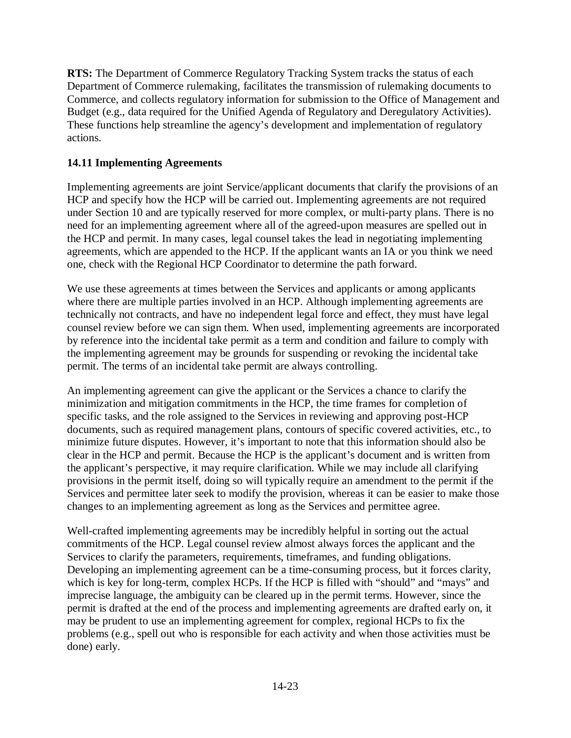**RTS:** The Department of Commerce Regulatory Tracking System tracks the status of each Department of Commerce rulemaking, facilitates the transmission of rulemaking documents to Commerce, and collects regulatory information for submission to the Office of Management and Budget (e.g., data required for the Unified Agenda of Regulatory and Deregulatory Activities). These functions help streamline the agency's development and implementation of regulatory actions.

#### **14.11 Implementing Agreements**

Implementing agreements are joint Service/applicant documents that clarify the provisions of an HCP and specify how the HCP will be carried out. Implementing agreements are not required under Section 10 and are typically reserved for more complex, or multi-party plans. There is no need for an implementing agreement where all of the agreed-upon measures are spelled out in the HCP and permit. In many cases, legal counsel takes the lead in negotiating implementing agreements, which are appended to the HCP. If the applicant wants an IA or you think we need one, check with the Regional HCP Coordinator to determine the path forward.

We use these agreements at times between the Services and applicants or among applicants where there are multiple parties involved in an HCP. Although implementing agreements are technically not contracts, and have no independent legal force and effect, they must have legal counsel review before we can sign them. When used, implementing agreements are incorporated by reference into the incidental take permit as a term and condition and failure to comply with the implementing agreement may be grounds for suspending or revoking the incidental take permit. The terms of an incidental take permit are always controlling.

An implementing agreement can give the applicant or the Services a chance to clarify the minimization and mitigation commitments in the HCP, the time frames for completion of specific tasks, and the role assigned to the Services in reviewing and approving post-HCP documents, such as required management plans, contours of specific covered activities, etc., to minimize future disputes. However, it's important to note that this information should also be clear in the HCP and permit. Because the HCP is the applicant's document and is written from the applicant's perspective, it may require clarification. While we may include all clarifying provisions in the permit itself, doing so will typically require an amendment to the permit if the Services and permittee later seek to modify the provision, whereas it can be easier to make those changes to an implementing agreement as long as the Services and permittee agree.

Well-crafted implementing agreements may be incredibly helpful in sorting out the actual commitments of the HCP. Legal counsel review almost always forces the applicant and the Services to clarify the parameters, requirements, timeframes, and funding obligations. Developing an implementing agreement can be a time-consuming process, but it forces clarity, which is key for long-term, complex HCPs. If the HCP is filled with "should" and "mays" and imprecise language, the ambiguity can be cleared up in the permit terms. However, since the permit is drafted at the end of the process and implementing agreements are drafted early on, it may be prudent to use an implementing agreement for complex, regional HCPs to fix the problems (e.g., spell out who is responsible for each activity and when those activities must be done) early.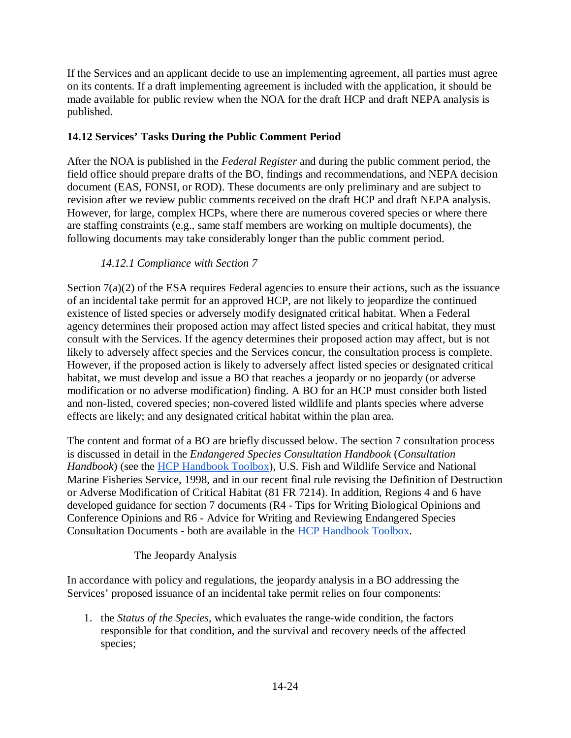If the Services and an applicant decide to use an implementing agreement, all parties must agree on its contents. If a draft implementing agreement is included with the application, it should be made available for public review when the NOA for the draft HCP and draft NEPA analysis is published.

## **14.12 Services' Tasks During the Public Comment Period**

After the NOA is published in the *Federal Register* and during the public comment period, the field office should prepare drafts of the BO, findings and recommendations, and NEPA decision document (EAS, FONSI, or ROD). These documents are only preliminary and are subject to revision after we review public comments received on the draft HCP and draft NEPA analysis. However, for large, complex HCPs, where there are numerous covered species or where there are staffing constraints (e.g., same staff members are working on multiple documents), the following documents may take considerably longer than the public comment period.

## *14.12.1 Compliance with Section 7*

Section 7(a)(2) of the ESA requires Federal agencies to ensure their actions, such as the issuance of an incidental take permit for an approved HCP, are not likely to jeopardize the continued existence of listed species or adversely modify designated critical habitat. When a Federal agency determines their proposed action may affect listed species and critical habitat, they must consult with the Services. If the agency determines their proposed action may affect, but is not likely to adversely affect species and the Services concur, the consultation process is complete. However, if the proposed action is likely to adversely affect listed species or designated critical habitat, we must develop and issue a BO that reaches a jeopardy or no jeopardy (or adverse modification or no adverse modification) finding. A BO for an HCP must consider both listed and non-listed, covered species; non-covered listed wildlife and plants species where adverse effects are likely; and any designated critical habitat within the plan area.

The content and format of a BO are briefly discussed below. The section 7 consultation process is discussed in detail in the *Endangered Species Consultation Handbook* (*Consultation Handbook*) (see the [HCP Handbook Toolbox\)](https://www.fws.gov/endangered/what-we-do/hcp-handbook-toolbox.html#Ch14), U.S. Fish and Wildlife Service and National Marine Fisheries Service, 1998, and in our recent final rule revising the Definition of Destruction or Adverse Modification of Critical Habitat (81 FR 7214). In addition, Regions 4 and 6 have developed guidance for section 7 documents (R4 - Tips for Writing Biological Opinions and Conference Opinions and R6 - Advice for Writing and Reviewing Endangered Species Consultation Documents - both are available in the [HCP Handbook Toolbox.](https://www.fws.gov/endangered/what-we-do/hcp-handbook-toolbox.html#Ch14)

#### The Jeopardy Analysis

In accordance with policy and regulations, the jeopardy analysis in a BO addressing the Services' proposed issuance of an incidental take permit relies on four components:

1. the *Status of the Species*, which evaluates the range-wide condition, the factors responsible for that condition, and the survival and recovery needs of the affected species;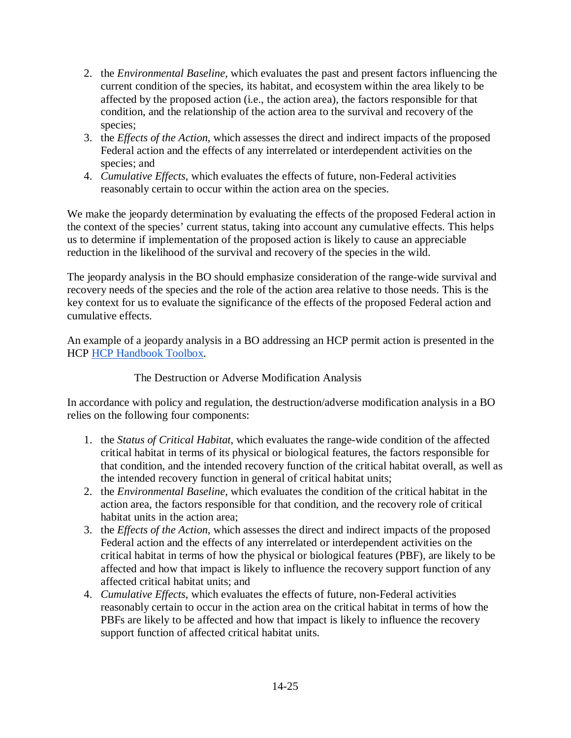- 2. the *Environmental Baseline*, which evaluates the past and present factors influencing the current condition of the species, its habitat, and ecosystem within the area likely to be affected by the proposed action (i.e., the action area), the factors responsible for that condition, and the relationship of the action area to the survival and recovery of the species;
- 3. the *Effects of the Action*, which assesses the direct and indirect impacts of the proposed Federal action and the effects of any interrelated or interdependent activities on the species; and
- 4. *Cumulative Effects*, which evaluates the effects of future, non-Federal activities reasonably certain to occur within the action area on the species.

We make the jeopardy determination by evaluating the effects of the proposed Federal action in the context of the species' current status, taking into account any cumulative effects. This helps us to determine if implementation of the proposed action is likely to cause an appreciable reduction in the likelihood of the survival and recovery of the species in the wild.

The jeopardy analysis in the BO should emphasize consideration of the range-wide survival and recovery needs of the species and the role of the action area relative to those needs. This is the key context for us to evaluate the significance of the effects of the proposed Federal action and cumulative effects.

An example of a jeopardy analysis in a BO addressing an HCP permit action is presented in the HCP [HCP Handbook Toolbox.](https://www.fws.gov/endangered/what-we-do/hcp-handbook-toolbox.html#Ch14)

#### The Destruction or Adverse Modification Analysis

In accordance with policy and regulation, the destruction/adverse modification analysis in a BO relies on the following four components:

- 1. the *Status of Critical Habitat*, which evaluates the range-wide condition of the affected critical habitat in terms of its physical or biological features, the factors responsible for that condition, and the intended recovery function of the critical habitat overall, as well as the intended recovery function in general of critical habitat units;
- 2. the *Environmental Baseline*, which evaluates the condition of the critical habitat in the action area, the factors responsible for that condition, and the recovery role of critical habitat units in the action area;
- 3. the *Effects of the Action*, which assesses the direct and indirect impacts of the proposed Federal action and the effects of any interrelated or interdependent activities on the critical habitat in terms of how the physical or biological features (PBF), are likely to be affected and how that impact is likely to influence the recovery support function of any affected critical habitat units; and
- 4. *Cumulative Effects*, which evaluates the effects of future, non-Federal activities reasonably certain to occur in the action area on the critical habitat in terms of how the PBFs are likely to be affected and how that impact is likely to influence the recovery support function of affected critical habitat units.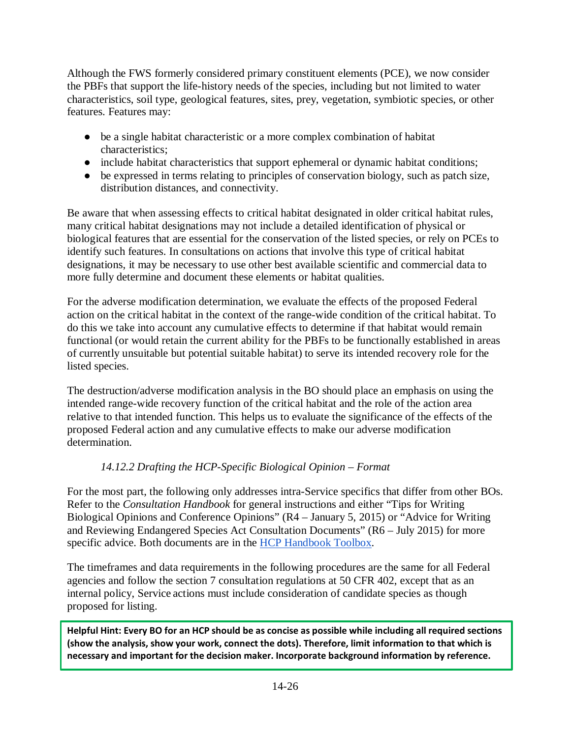Although the FWS formerly considered primary constituent elements (PCE), we now consider the PBFs that support the life-history needs of the species, including but not limited to water characteristics, soil type, geological features, sites, prey, vegetation, symbiotic species, or other features. Features may:

- be a single habitat characteristic or a more complex combination of habitat characteristics;
- include habitat characteristics that support ephemeral or dynamic habitat conditions;
- be expressed in terms relating to principles of conservation biology, such as patch size, distribution distances, and connectivity.

Be aware that when assessing effects to critical habitat designated in older critical habitat rules, many critical habitat designations may not include a detailed identification of physical or biological features that are essential for the conservation of the listed species, or rely on PCEs to identify such features. In consultations on actions that involve this type of critical habitat designations, it may be necessary to use other best available scientific and commercial data to more fully determine and document these elements or habitat qualities.

For the adverse modification determination, we evaluate the effects of the proposed Federal action on the critical habitat in the context of the range-wide condition of the critical habitat. To do this we take into account any cumulative effects to determine if that habitat would remain functional (or would retain the current ability for the PBFs to be functionally established in areas of currently unsuitable but potential suitable habitat) to serve its intended recovery role for the listed species.

The destruction/adverse modification analysis in the BO should place an emphasis on using the intended range-wide recovery function of the critical habitat and the role of the action area relative to that intended function. This helps us to evaluate the significance of the effects of the proposed Federal action and any cumulative effects to make our adverse modification determination.

# *14.12.2 Drafting the HCP-Specific Biological Opinion – Format*

For the most part, the following only addresses intra-Service specifics that differ from other BOs. Refer to the *Consultation Handbook* for general instructions and either "Tips for Writing Biological Opinions and Conference Opinions" (R4 – January 5, 2015) or "Advice for Writing and Reviewing Endangered Species Act Consultation Documents" (R6 – July 2015) for more specific advice. Both documents are in the [HCP Handbook Toolbox.](https://www.fws.gov/endangered/what-we-do/hcp-handbook-toolbox.html#Ch14)

The timeframes and data requirements in the following procedures are the same for all Federal agencies and follow the section 7 consultation regulations at 50 CFR 402, except that as an internal policy, Service actions must include consideration of candidate species as though proposed for listing.

**Helpful Hint: Every BO for an HCP should be as concise as possible while including all required sections (show the analysis, show your work, connect the dots). Therefore, limit information to that which is necessary and important for the decision maker. Incorporate background information by reference.**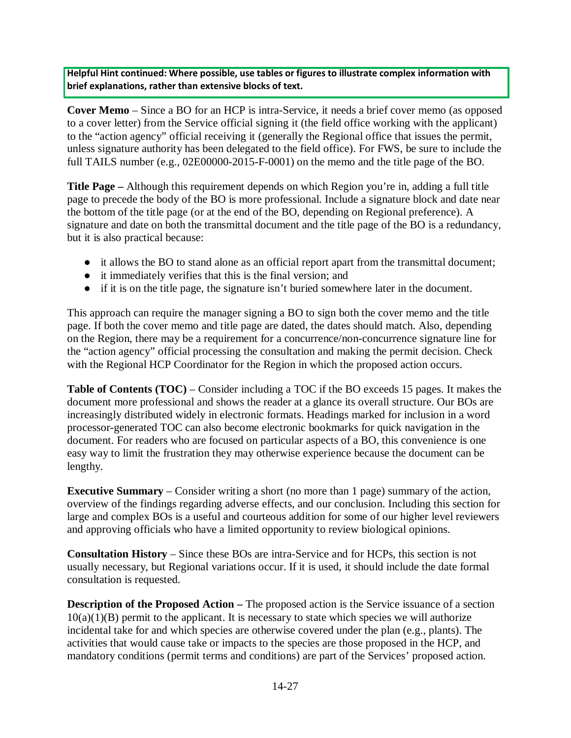**Helpful Hint continued: Where possible, use tables or figures to illustrate complex information with brief explanations, rather than extensive blocks of text.**

**Cover Memo** – Since a BO for an HCP is intra-Service, it needs a brief cover memo (as opposed to a cover letter) from the Service official signing it (the field office working with the applicant) to the "action agency" official receiving it (generally the Regional office that issues the permit, unless signature authority has been delegated to the field office). For FWS, be sure to include the full TAILS number (e.g., 02E00000-2015-F-0001) on the memo and the title page of the BO.

**Title Page –** Although this requirement depends on which Region you're in, adding a full title page to precede the body of the BO is more professional. Include a signature block and date near the bottom of the title page (or at the end of the BO, depending on Regional preference). A signature and date on both the transmittal document and the title page of the BO is a redundancy, but it is also practical because:

- it allows the BO to stand alone as an official report apart from the transmittal document;
- it immediately verifies that this is the final version; and
- if it is on the title page, the signature isn't buried somewhere later in the document.

This approach can require the manager signing a BO to sign both the cover memo and the title page. If both the cover memo and title page are dated, the dates should match. Also, depending on the Region, there may be a requirement for a concurrence/non-concurrence signature line for the "action agency" official processing the consultation and making the permit decision. Check with the Regional HCP Coordinator for the Region in which the proposed action occurs.

**Table of Contents (TOC)** – Consider including a TOC if the BO exceeds 15 pages. It makes the document more professional and shows the reader at a glance its overall structure. Our BOs are increasingly distributed widely in electronic formats. Headings marked for inclusion in a word processor-generated TOC can also become electronic bookmarks for quick navigation in the document. For readers who are focused on particular aspects of a BO, this convenience is one easy way to limit the frustration they may otherwise experience because the document can be lengthy.

**Executive Summary** – Consider writing a short (no more than 1 page) summary of the action, overview of the findings regarding adverse effects, and our conclusion. Including this section for large and complex BOs is a useful and courteous addition for some of our higher level reviewers and approving officials who have a limited opportunity to review biological opinions.

**Consultation History** – Since these BOs are intra-Service and for HCPs, this section is not usually necessary, but Regional variations occur. If it is used, it should include the date formal consultation is requested.

**Description of the Proposed Action –** The proposed action is the Service issuance of a section  $10(a)(1)(B)$  permit to the applicant. It is necessary to state which species we will authorize incidental take for and which species are otherwise covered under the plan (e.g., plants). The activities that would cause take or impacts to the species are those proposed in the HCP, and mandatory conditions (permit terms and conditions) are part of the Services' proposed action.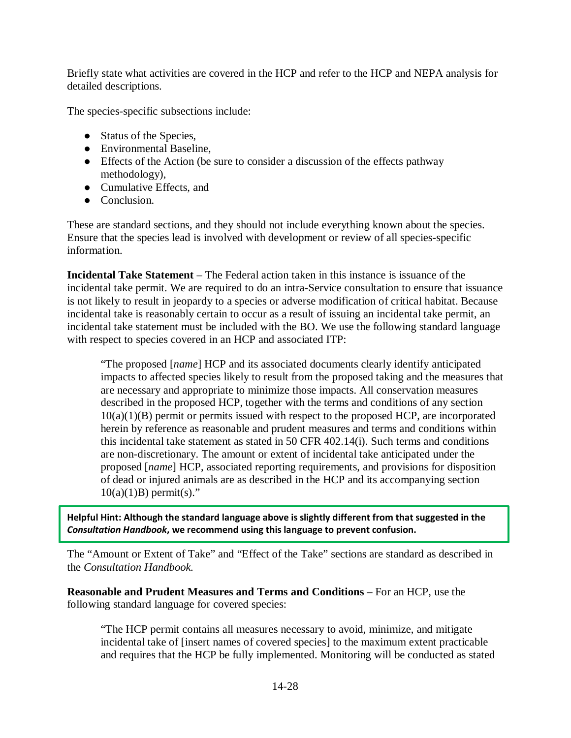Briefly state what activities are covered in the HCP and refer to the HCP and NEPA analysis for detailed descriptions.

The species-specific subsections include:

- Status of the Species,
- Environmental Baseline,
- Effects of the Action (be sure to consider a discussion of the effects pathway methodology),
- Cumulative Effects, and
- Conclusion.

These are standard sections, and they should not include everything known about the species. Ensure that the species lead is involved with development or review of all species-specific information.

**Incidental Take Statement** – The Federal action taken in this instance is issuance of the incidental take permit. We are required to do an intra-Service consultation to ensure that issuance is not likely to result in jeopardy to a species or adverse modification of critical habitat. Because incidental take is reasonably certain to occur as a result of issuing an incidental take permit, an incidental take statement must be included with the BO. We use the following standard language with respect to species covered in an HCP and associated ITP:

"The proposed [*name*] HCP and its associated documents clearly identify anticipated impacts to affected species likely to result from the proposed taking and the measures that are necessary and appropriate to minimize those impacts. All conservation measures described in the proposed HCP, together with the terms and conditions of any section  $10(a)(1)(B)$  permit or permits issued with respect to the proposed HCP, are incorporated herein by reference as reasonable and prudent measures and terms and conditions within this incidental take statement as stated in 50 CFR 402.14(i). Such terms and conditions are non-discretionary. The amount or extent of incidental take anticipated under the proposed [*name*] HCP, associated reporting requirements, and provisions for disposition of dead or injured animals are as described in the HCP and its accompanying section  $10(a)(1)B$ ) permit(s)."

**Helpful Hint: Although the standard language above is slightly different from that suggested in the**  *Consultation Handbook***, we recommend using this language to prevent confusion.**

The "Amount or Extent of Take" and "Effect of the Take" sections are standard as described in the *Consultation Handbook.*

**Reasonable and Prudent Measures and Terms and Conditions** – For an HCP, use the following standard language for covered species:

"The HCP permit contains all measures necessary to avoid, minimize, and mitigate incidental take of [insert names of covered species] to the maximum extent practicable and requires that the HCP be fully implemented. Monitoring will be conducted as stated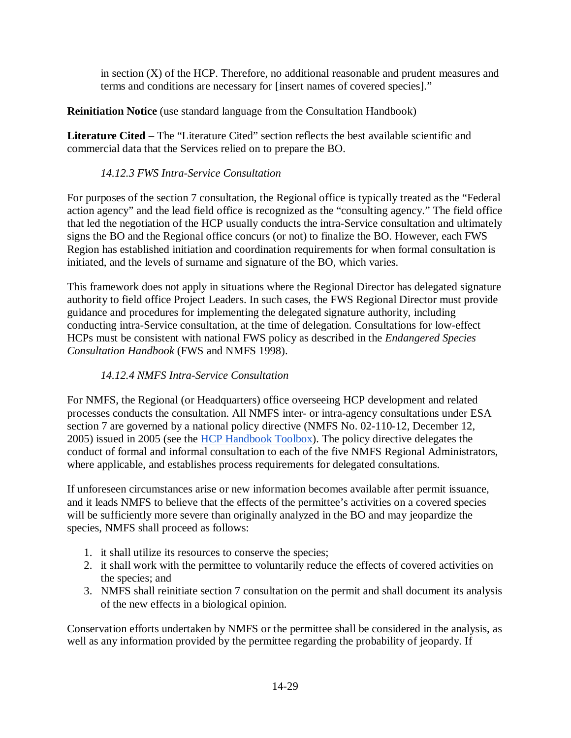in section  $(X)$  of the HCP. Therefore, no additional reasonable and prudent measures and terms and conditions are necessary for [insert names of covered species]."

# **Reinitiation Notice** (use standard language from the Consultation Handbook)

**Literature Cited** – The "Literature Cited" section reflects the best available scientific and commercial data that the Services relied on to prepare the BO.

## *14.12.3 FWS Intra-Service Consultation*

For purposes of the section 7 consultation, the Regional office is typically treated as the "Federal action agency" and the lead field office is recognized as the "consulting agency." The field office that led the negotiation of the HCP usually conducts the intra-Service consultation and ultimately signs the BO and the Regional office concurs (or not) to finalize the BO. However, each FWS Region has established initiation and coordination requirements for when formal consultation is initiated, and the levels of surname and signature of the BO, which varies.

This framework does not apply in situations where the Regional Director has delegated signature authority to field office Project Leaders. In such cases, the FWS Regional Director must provide guidance and procedures for implementing the delegated signature authority, including conducting intra-Service consultation, at the time of delegation. Consultations for low-effect HCPs must be consistent with national FWS policy as described in the *Endangered Species Consultation Handbook* (FWS and NMFS 1998).

# *14.12.4 NMFS Intra-Service Consultation*

For NMFS, the Regional (or Headquarters) office overseeing HCP development and related processes conducts the consultation. All NMFS inter- or intra-agency consultations under ESA section 7 are governed by a national policy directive (NMFS No. 02-110-12, December 12, 2005) issued in 2005 (see the  $HCP$  Handbook Toolbox). The policy directive delegates the conduct of formal and informal consultation to each of the five NMFS Regional Administrators, where applicable, and establishes process requirements for delegated consultations.

If unforeseen circumstances arise or new information becomes available after permit issuance, and it leads NMFS to believe that the effects of the permittee's activities on a covered species will be sufficiently more severe than originally analyzed in the BO and may jeopardize the species, NMFS shall proceed as follows:

- 1. it shall utilize its resources to conserve the species;
- 2. it shall work with the permittee to voluntarily reduce the effects of covered activities on the species; and
- 3. NMFS shall reinitiate section 7 consultation on the permit and shall document its analysis of the new effects in a biological opinion.

Conservation efforts undertaken by NMFS or the permittee shall be considered in the analysis, as well as any information provided by the permittee regarding the probability of jeopardy. If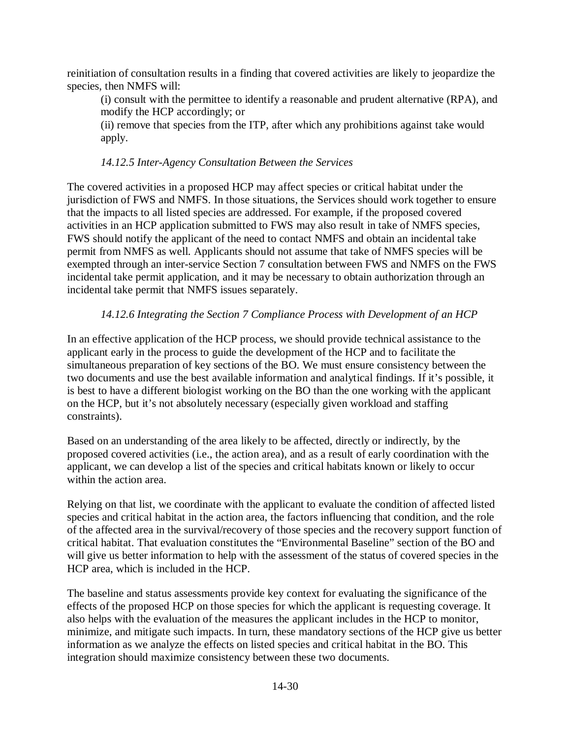reinitiation of consultation results in a finding that covered activities are likely to jeopardize the species, then NMFS will:

(i) consult with the permittee to identify a reasonable and prudent alternative (RPA), and modify the HCP accordingly; or

(ii) remove that species from the ITP, after which any prohibitions against take would apply.

#### *14.12.5 Inter-Agency Consultation Between the Services*

The covered activities in a proposed HCP may affect species or critical habitat under the jurisdiction of FWS and NMFS. In those situations, the Services should work together to ensure that the impacts to all listed species are addressed. For example, if the proposed covered activities in an HCP application submitted to FWS may also result in take of NMFS species, FWS should notify the applicant of the need to contact NMFS and obtain an incidental take permit from NMFS as well. Applicants should not assume that take of NMFS species will be exempted through an inter-service Section 7 consultation between FWS and NMFS on the FWS incidental take permit application, and it may be necessary to obtain authorization through an incidental take permit that NMFS issues separately.

#### *14.12.6 Integrating the Section 7 Compliance Process with Development of an HCP*

In an effective application of the HCP process, we should provide technical assistance to the applicant early in the process to guide the development of the HCP and to facilitate the simultaneous preparation of key sections of the BO. We must ensure consistency between the two documents and use the best available information and analytical findings. If it's possible, it is best to have a different biologist working on the BO than the one working with the applicant on the HCP, but it's not absolutely necessary (especially given workload and staffing constraints).

Based on an understanding of the area likely to be affected, directly or indirectly, by the proposed covered activities (i.e., the action area), and as a result of early coordination with the applicant, we can develop a list of the species and critical habitats known or likely to occur within the action area.

Relying on that list, we coordinate with the applicant to evaluate the condition of affected listed species and critical habitat in the action area, the factors influencing that condition, and the role of the affected area in the survival/recovery of those species and the recovery support function of critical habitat. That evaluation constitutes the "Environmental Baseline" section of the BO and will give us better information to help with the assessment of the status of covered species in the HCP area, which is included in the HCP.

The baseline and status assessments provide key context for evaluating the significance of the effects of the proposed HCP on those species for which the applicant is requesting coverage. It also helps with the evaluation of the measures the applicant includes in the HCP to monitor, minimize, and mitigate such impacts. In turn, these mandatory sections of the HCP give us better information as we analyze the effects on listed species and critical habitat in the BO. This integration should maximize consistency between these two documents.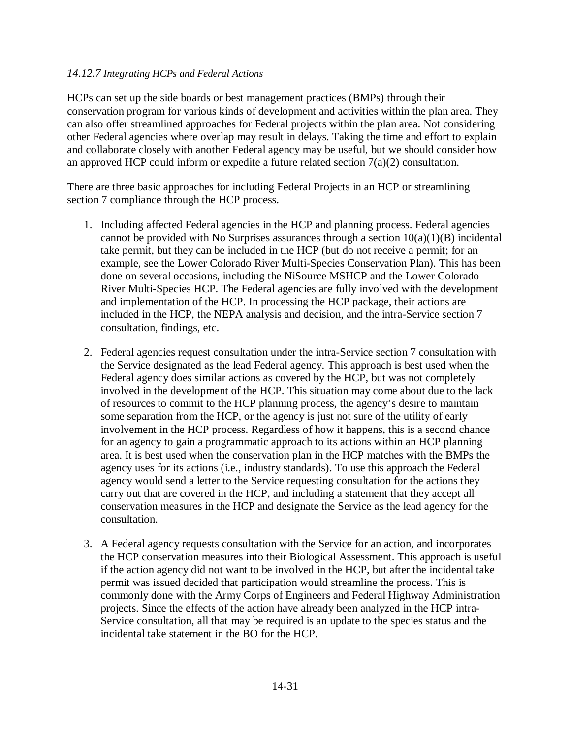#### *14.12.7 Integrating HCPs and Federal Actions*

HCPs can set up the side boards or best management practices (BMPs) through their conservation program for various kinds of development and activities within the plan area. They can also offer streamlined approaches for Federal projects within the plan area. Not considering other Federal agencies where overlap may result in delays. Taking the time and effort to explain and collaborate closely with another Federal agency may be useful, but we should consider how an approved HCP could inform or expedite a future related section 7(a)(2) consultation.

There are three basic approaches for including Federal Projects in an HCP or streamlining section 7 compliance through the HCP process.

- 1. Including affected Federal agencies in the HCP and planning process. Federal agencies cannot be provided with No Surprises assurances through a section  $10(a)(1)(B)$  incidental take permit, but they can be included in the HCP (but do not receive a permit; for an example, see the Lower Colorado River Multi-Species Conservation Plan). This has been done on several occasions, including the NiSource MSHCP and the Lower Colorado River Multi-Species HCP. The Federal agencies are fully involved with the development and implementation of the HCP. In processing the HCP package, their actions are included in the HCP, the NEPA analysis and decision, and the intra-Service section 7 consultation, findings, etc.
- 2. Federal agencies request consultation under the intra-Service section 7 consultation with the Service designated as the lead Federal agency. This approach is best used when the Federal agency does similar actions as covered by the HCP, but was not completely involved in the development of the HCP. This situation may come about due to the lack of resources to commit to the HCP planning process, the agency's desire to maintain some separation from the HCP, or the agency is just not sure of the utility of early involvement in the HCP process. Regardless of how it happens, this is a second chance for an agency to gain a programmatic approach to its actions within an HCP planning area. It is best used when the conservation plan in the HCP matches with the BMPs the agency uses for its actions (i.e., industry standards). To use this approach the Federal agency would send a letter to the Service requesting consultation for the actions they carry out that are covered in the HCP, and including a statement that they accept all conservation measures in the HCP and designate the Service as the lead agency for the consultation.
- 3. A Federal agency requests consultation with the Service for an action, and incorporates the HCP conservation measures into their Biological Assessment. This approach is useful if the action agency did not want to be involved in the HCP, but after the incidental take permit was issued decided that participation would streamline the process. This is commonly done with the Army Corps of Engineers and Federal Highway Administration projects. Since the effects of the action have already been analyzed in the HCP intra-Service consultation, all that may be required is an update to the species status and the incidental take statement in the BO for the HCP.